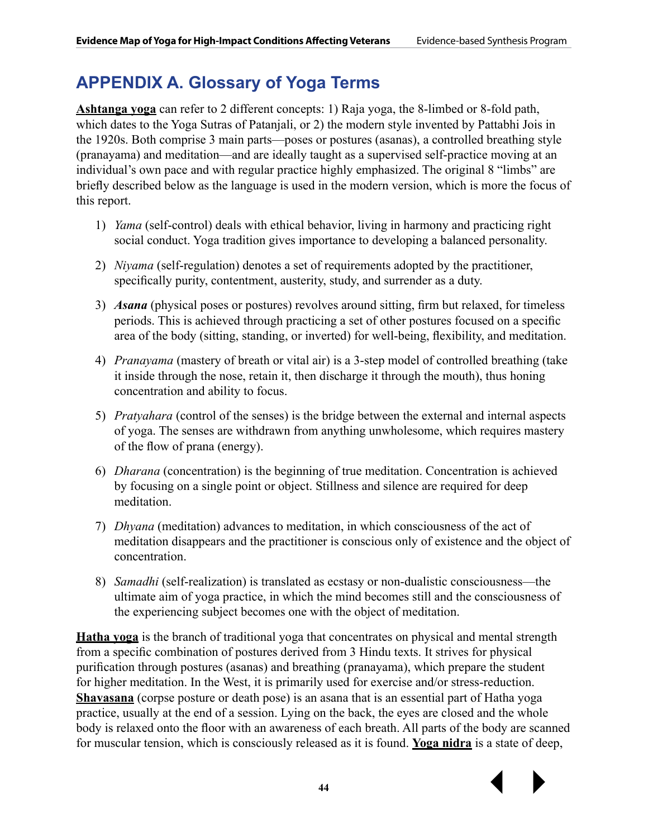# **APPENDIX A. Glossary of Yoga Terms**

**Ashtanga yoga** can refer to 2 different concepts: 1) Raja yoga, the 8-limbed or 8-fold path, which dates to the Yoga Sutras of Patanjali, or 2) the modern style invented by Pattabhi Jois in the 1920s. Both comprise 3 main parts—poses or postures (asanas), a controlled breathing style (pranayama) and meditation—and are ideally taught as a supervised self-practice moving at an individual's own pace and with regular practice highly emphasized. The original 8 "limbs" are briefly described below as the language is used in the modern version, which is more the focus of this report.

- 1) *Yama* (self-control) deals with ethical behavior, living in harmony and practicing right social conduct. Yoga tradition gives importance to developing a balanced personality.
- 2) *Niyama* (self-regulation) denotes a set of requirements adopted by the practitioner, specifically purity, contentment, austerity, study, and surrender as a duty.
- 3) *Asana* (physical poses or postures) revolves around sitting, firm but relaxed, for timeless periods. This is achieved through practicing a set of other postures focused on a specific area of the body (sitting, standing, or inverted) for well-being, flexibility, and meditation.
- 4) *Pranayama* (mastery of breath or vital air) is a 3-step model of controlled breathing (take it inside through the nose, retain it, then discharge it through the mouth), thus honing concentration and ability to focus.
- 5) *Pratyahara* (control of the senses) is the bridge between the external and internal aspects of yoga. The senses are withdrawn from anything unwholesome, which requires mastery of the flow of prana (energy).
- 6) *Dharana* (concentration) is the beginning of true meditation. Concentration is achieved by focusing on a single point or object. Stillness and silence are required for deep meditation.
- 7) *Dhyana* (meditation) advances to meditation, in which consciousness of the act of meditation disappears and the practitioner is conscious only of existence and the object of concentration.
- 8) *Samadhi* (self-realization) is translated as ecstasy or non-dualistic consciousness—the ultimate aim of yoga practice, in which the mind becomes still and the consciousness of the experiencing subject becomes one with the object of meditation.

**Hatha yoga** is the branch of traditional yoga that concentrates on physical and mental strength from a specific combination of postures derived from 3 Hindu texts. It strives for physical purification through postures (asanas) and breathing (pranayama), which prepare the student for higher meditation. In the West, it is primarily used for exercise and/or stress-reduction. **Shavasana** (corpse posture or death pose) is an asana that is an essential part of Hatha yoga practice, usually at the end of a session. Lying on the back, the eyes are closed and the whole body is relaxed onto the floor with an awareness of each breath. All parts of the body are scanned for muscular tension, which is consciously released as it is found. **Yoga nidra** is a state of deep,

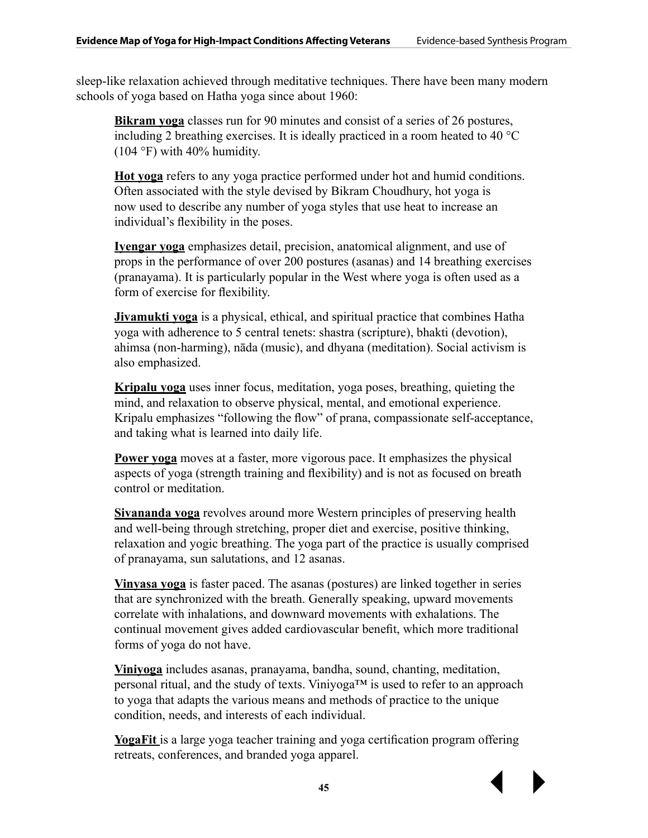sleep-like relaxation achieved through meditative techniques. There have been many modern schools of yoga based on Hatha yoga since about 1960:

**Bikram yoga** classes run for 90 minutes and consist of a series of 26 postures, including 2 breathing exercises. It is ideally practiced in a room heated to 40 °C (104 °F) with 40% humidity.

**Hot yoga** refers to any yoga practice performed under hot and humid conditions. Often associated with the style devised by [Bikram Choudhury](http://en.wikipedia.org/wiki/Bikram_Choudhury), hot yoga is now used to describe any number of yoga styles that use heat to increase an individual's flexibility in the poses.

**Iyengar yoga** emphasizes detail, precision, anatomical alignment, and use of props in the performance of over 200 postures (asanas) and 14 breathing exercises (pranayama). It is particularly popular in the West where yoga is often used as a form of exercise for flexibility.

**Jivamukti yoga** is a physical, ethical, and spiritual practice that combines Hatha yoga with adherence to 5 central tenets: [shastra](http://en.wikipedia.org/wiki/Shastra) (scripture), [bhakti](http://en.wikipedia.org/wiki/Bhakti) (devotion), [ahimsa](http://en.wikipedia.org/wiki/Ahimsa) (non-harming), [nāda](http://en.wikipedia.org/wiki/Nada_yoga) (music), and [dhyana](http://en.wikipedia.org/wiki/Dhyana_in_Hinduism) (meditation). Social activism is also emphasized.

**Kripalu yoga** uses inner focus, meditation, yoga poses, breathing, quieting the mind, and relaxation to observe physical, mental, and emotional experience. Kripalu emphasizes "following the flow" of [prana,](http://en.wikipedia.org/wiki/Prana) compassionate self-acceptance, and taking what is learned into daily life.

**Power yoga** moves at a faster, more vigorous pace. It emphasizes the physical aspects of yoga (strength training and flexibility) and is not as focused on breath control or meditation.

**Sivananda yoga** revolves around more Western principles of preserving health and well-being through stretching, proper diet and exercise, positive thinking, relaxation and yogic breathing. The yoga part of the practice is usually comprised of pranayama, sun salutations, and 12 asanas.

**Vinyasa yoga** is faster paced. The asanas (postures) are linked together in series that are synchronized with the breath. Generally speaking, upward movements correlate with inhalations, and downward movements with exhalations. The continual movement gives added cardiovascular benefit, which more traditional forms of yoga do not have.

**Viniyoga** includes asanas, pranayama, bandha, sound, chanting, meditation, personal ritual, and the study of texts. Viniyoga™ is used to refer to an approach to yoga that adapts the various means and methods of practice to the unique condition, needs, and interests of each individual.

**YogaFit** is a large yoga teacher training and yoga certification program offering retreats, conferences, and branded yoga apparel.

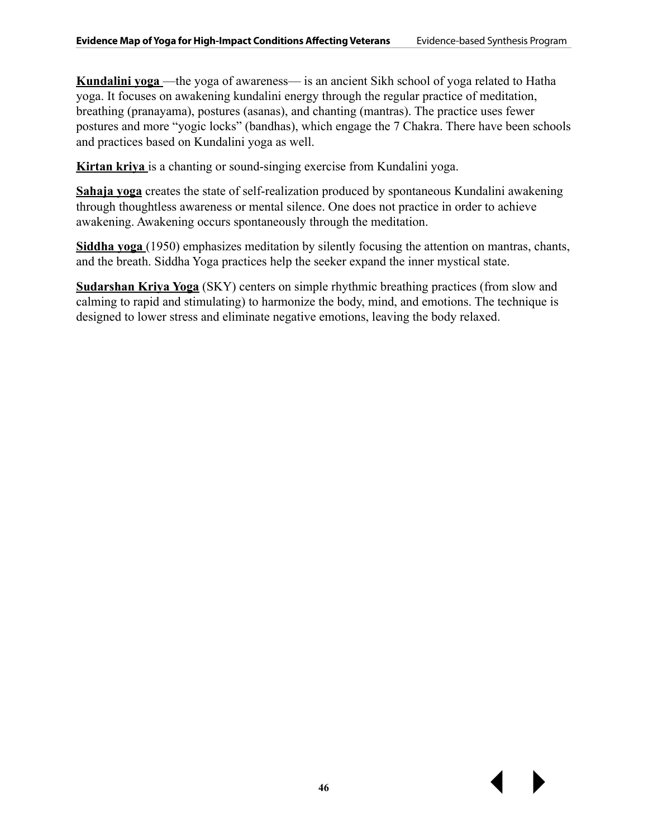**Kundalini yoga** —the yoga of awareness— is an ancient Sikh school of yoga related to Hatha yoga. It focuses on awakening kundalini energy through the regular practice of meditation, breathing (pranayama), postures (asanas), and chanting (mantras). The practice uses fewer postures and more "yogic locks" (bandhas), which engage the 7 Chakra. There have been schools and practices based on Kundalini yoga as well.

**Kirtan kriya** is a chanting or sound-singing exercise from Kundalini yoga.

**Sahaja yoga** creates the state of self-realization produced by spontaneous Kundalini awakening through thoughtless awareness or mental silence. One does not practice in order to achieve awakening. Awakening occurs spontaneously through the meditation.

**Siddha yoga** (1950) emphasizes meditation by silently focusing the attention on mantras, chants, and the breath. Siddha Yoga practices help the seeker expand the inner mystical state.

**Sudarshan Kriya Yoga** (SKY) centers on simple rhythmic breathing practices (from slow and calming to rapid and stimulating) to harmonize the body, mind, and emotions. The technique is designed to lower stress and eliminate negative emotions, leaving the body relaxed.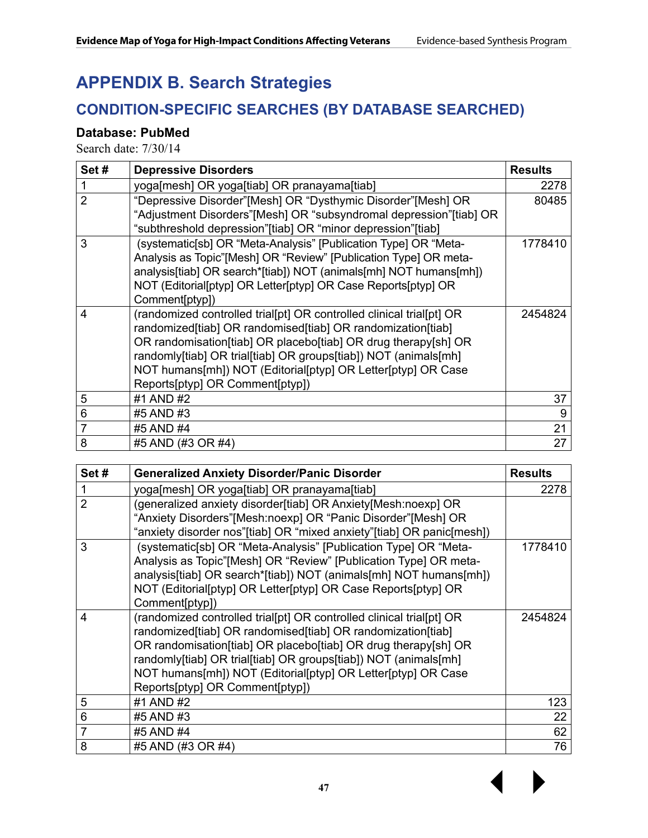## **APPENDIX B. Search Strategies**

### **CONDITION-SPECIFIC SEARCHES (BY DATABASE SEARCHED)**

#### **Database: PubMed**

| Set#                    | <b>Depressive Disorders</b>                                                                                                                                                                                                                                                                                                                                                 | <b>Results</b> |
|-------------------------|-----------------------------------------------------------------------------------------------------------------------------------------------------------------------------------------------------------------------------------------------------------------------------------------------------------------------------------------------------------------------------|----------------|
| 1                       | yoga[mesh] OR yoga[tiab] OR pranayama[tiab]                                                                                                                                                                                                                                                                                                                                 | 2278           |
| $\overline{2}$          | "Depressive Disorder"[Mesh] OR "Dysthymic Disorder"[Mesh] OR<br>"Adjustment Disorders"[Mesh] OR "subsyndromal depression"[tiab] OR<br>"subthreshold depression"[tiab] OR "minor depression"[tiab]                                                                                                                                                                           | 80485          |
| 3                       | (systematic[sb] OR "Meta-Analysis" [Publication Type] OR "Meta-<br>Analysis as Topic"[Mesh] OR "Review" [Publication Type] OR meta-<br>analysis[tiab] OR search*[tiab]) NOT (animals[mh] NOT humans[mh])<br>NOT (Editorial[ptyp] OR Letter[ptyp] OR Case Reports[ptyp] OR<br>Comment[ptyp])                                                                                 | 1778410        |
| $\overline{\mathbf{4}}$ | (randomized controlled trial[pt] OR controlled clinical trial[pt] OR<br>randomized[tiab] OR randomised[tiab] OR randomization[tiab]<br>OR randomisation[tiab] OR placebo[tiab] OR drug therapy[sh] OR<br>randomly[tiab] OR trial[tiab] OR groups[tiab]) NOT (animals[mh]<br>NOT humans[mh]) NOT (Editorial[ptyp] OR Letter[ptyp] OR Case<br>Reports[ptyp] OR Comment[ptyp]) | 2454824        |
| 5                       | #1 AND #2                                                                                                                                                                                                                                                                                                                                                                   | 37             |
| 6                       | #5 AND #3                                                                                                                                                                                                                                                                                                                                                                   | 9              |
| 7                       | #5 AND #4                                                                                                                                                                                                                                                                                                                                                                   | 21             |
| 8                       | #5 AND (#3 OR #4)                                                                                                                                                                                                                                                                                                                                                           | 27             |

| Set#           | <b>Generalized Anxiety Disorder/Panic Disorder</b>                                                                                                                                                                                                                                                                                                                          | <b>Results</b> |
|----------------|-----------------------------------------------------------------------------------------------------------------------------------------------------------------------------------------------------------------------------------------------------------------------------------------------------------------------------------------------------------------------------|----------------|
| 1              | yoga[mesh] OR yoga[tiab] OR pranayama[tiab]                                                                                                                                                                                                                                                                                                                                 | 2278           |
| $\overline{2}$ | (generalized anxiety disorder[tiab] OR Anxiety[Mesh:noexp] OR<br>"Anxiety Disorders"[Mesh:noexp] OR "Panic Disorder"[Mesh] OR<br>"anxiety disorder nos"[tiab] OR "mixed anxiety"[tiab] OR panic[mesh])                                                                                                                                                                      |                |
| 3              | (systematic[sb] OR "Meta-Analysis" [Publication Type] OR "Meta-<br>Analysis as Topic"[Mesh] OR "Review" [Publication Type] OR meta-<br>analysis[tiab] OR search*[tiab]) NOT (animals[mh] NOT humans[mh])<br>NOT (Editorial[ptyp] OR Letter[ptyp] OR Case Reports[ptyp] OR<br>Comment[ptyp])                                                                                 | 1778410        |
| 4              | (randomized controlled trial[pt] OR controlled clinical trial[pt] OR<br>randomized[tiab] OR randomised[tiab] OR randomization[tiab]<br>OR randomisation[tiab] OR placebo[tiab] OR drug therapy[sh] OR<br>randomly[tiab] OR trial[tiab] OR groups[tiab]) NOT (animals[mh]<br>NOT humans[mh]) NOT (Editorial[ptyp] OR Letter[ptyp] OR Case<br>Reports[ptyp] OR Comment[ptyp]) | 2454824        |
| 5              | #1 AND #2                                                                                                                                                                                                                                                                                                                                                                   | 123            |
| 6              | #5 AND #3                                                                                                                                                                                                                                                                                                                                                                   | 22             |
| $\overline{7}$ | #5 AND #4                                                                                                                                                                                                                                                                                                                                                                   | 62             |
| 8              | #5 AND (#3 OR #4)                                                                                                                                                                                                                                                                                                                                                           | 76             |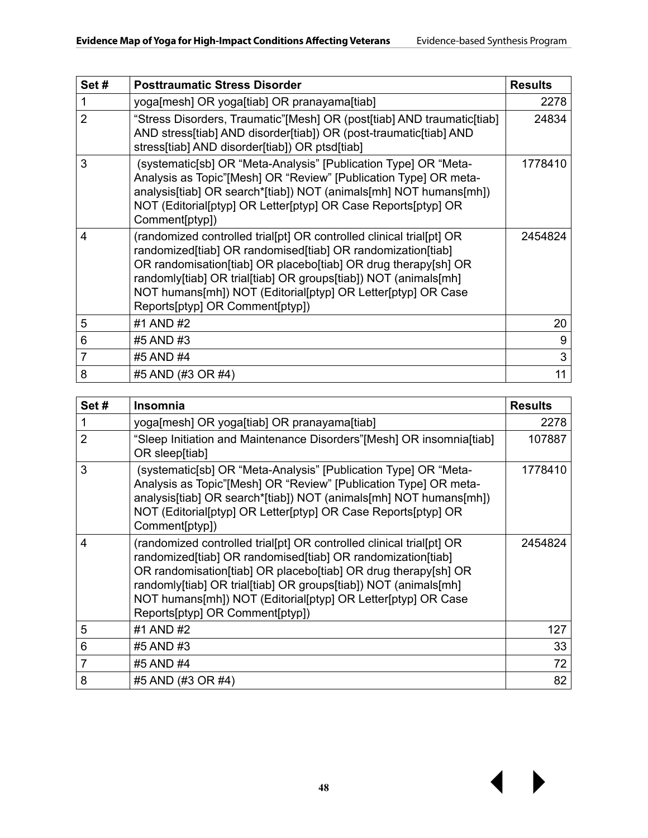| Set#           | <b>Posttraumatic Stress Disorder</b>                                                                                                                                                                                                                                                                                                                                        | <b>Results</b> |
|----------------|-----------------------------------------------------------------------------------------------------------------------------------------------------------------------------------------------------------------------------------------------------------------------------------------------------------------------------------------------------------------------------|----------------|
| 1              | yoga[mesh] OR yoga[tiab] OR pranayama[tiab]                                                                                                                                                                                                                                                                                                                                 | 2278           |
| $\overline{2}$ | "Stress Disorders, Traumatic"[Mesh] OR (post[tiab] AND traumatic[tiab]<br>AND stress[tiab] AND disorder[tiab]) OR (post-traumatic[tiab] AND<br>stress[tiab] AND disorder[tiab]) OR ptsd[tiab]                                                                                                                                                                               | 24834          |
| 3              | (systematic[sb] OR "Meta-Analysis" [Publication Type] OR "Meta-<br>Analysis as Topic"[Mesh] OR "Review" [Publication Type] OR meta-<br>analysis[tiab] OR search*[tiab]) NOT (animals[mh] NOT humans[mh])<br>NOT (Editorial[ptyp] OR Letter[ptyp] OR Case Reports[ptyp] OR<br>Comment[ptyp])                                                                                 | 1778410        |
| 4              | (randomized controlled trial[pt] OR controlled clinical trial[pt] OR<br>randomized[tiab] OR randomised[tiab] OR randomization[tiab]<br>OR randomisation[tiab] OR placebo[tiab] OR drug therapy[sh] OR<br>randomly[tiab] OR trial[tiab] OR groups[tiab]) NOT (animals[mh]<br>NOT humans[mh]) NOT (Editorial[ptyp] OR Letter[ptyp] OR Case<br>Reports[ptyp] OR Comment[ptyp]) | 2454824        |
| 5              | #1 AND #2                                                                                                                                                                                                                                                                                                                                                                   | 20             |
| 6              | #5 AND #3                                                                                                                                                                                                                                                                                                                                                                   | 9              |
| 7              | #5 AND #4                                                                                                                                                                                                                                                                                                                                                                   | 3              |
| 8              | #5 AND (#3 OR #4)                                                                                                                                                                                                                                                                                                                                                           | 11             |

| Set#           | <b>Insomnia</b>                                                                                                                                                                                                                                                                                                                                                             | <b>Results</b> |
|----------------|-----------------------------------------------------------------------------------------------------------------------------------------------------------------------------------------------------------------------------------------------------------------------------------------------------------------------------------------------------------------------------|----------------|
| 1              | yoga[mesh] OR yoga[tiab] OR pranayama[tiab]                                                                                                                                                                                                                                                                                                                                 | 2278           |
| $\overline{2}$ | "Sleep Initiation and Maintenance Disorders"[Mesh] OR insomnia[tiab]<br>OR sleep[tiab]                                                                                                                                                                                                                                                                                      | 107887         |
| 3              | (systematic[sb] OR "Meta-Analysis" [Publication Type] OR "Meta-<br>Analysis as Topic"[Mesh] OR "Review" [Publication Type] OR meta-<br>analysis[tiab] OR search*[tiab]) NOT (animals[mh] NOT humans[mh])<br>NOT (Editorial[ptyp] OR Letter[ptyp] OR Case Reports[ptyp] OR<br>Comment[ptyp])                                                                                 | 1778410        |
| 4              | (randomized controlled trial[pt] OR controlled clinical trial[pt] OR<br>randomized[tiab] OR randomised[tiab] OR randomization[tiab]<br>OR randomisation[tiab] OR placebo[tiab] OR drug therapy[sh] OR<br>randomly[tiab] OR trial[tiab] OR groups[tiab]) NOT (animals[mh]<br>NOT humans[mh]) NOT (Editorial[ptyp] OR Letter[ptyp] OR Case<br>Reports[ptyp] OR Comment[ptyp]) | 2454824        |
| 5              | #1 AND #2                                                                                                                                                                                                                                                                                                                                                                   | 127            |
| 6              | #5 AND #3                                                                                                                                                                                                                                                                                                                                                                   | 33             |
| 7              | #5 AND #4                                                                                                                                                                                                                                                                                                                                                                   | 72             |
| 8              | #5 AND (#3 OR #4)                                                                                                                                                                                                                                                                                                                                                           | 82             |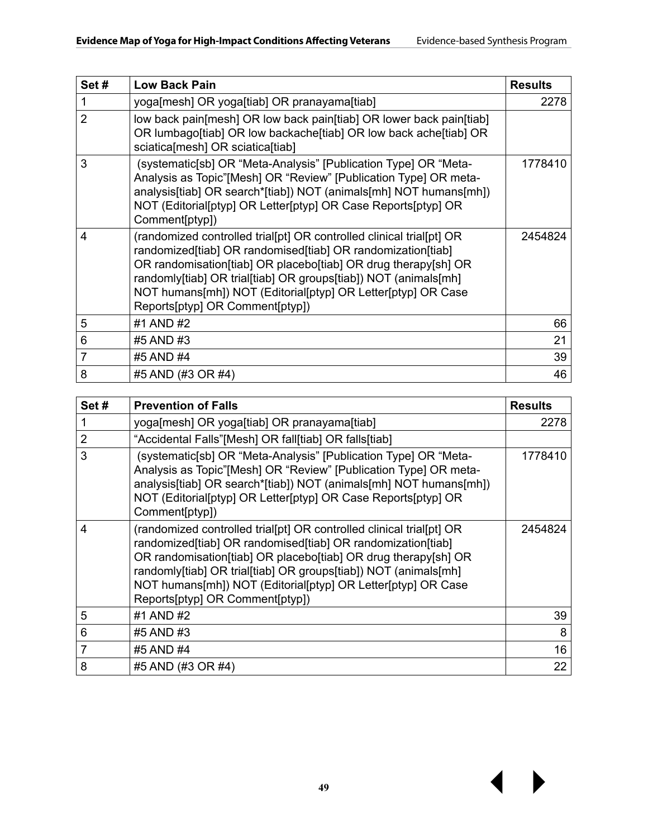| Set#           | <b>Low Back Pain</b>                                                                                                                                                                                                                                                                                                                                                        | <b>Results</b> |
|----------------|-----------------------------------------------------------------------------------------------------------------------------------------------------------------------------------------------------------------------------------------------------------------------------------------------------------------------------------------------------------------------------|----------------|
| 1              | yoga[mesh] OR yoga[tiab] OR pranayama[tiab]                                                                                                                                                                                                                                                                                                                                 | 2278           |
| $\overline{2}$ | low back pain [mesh] OR low back pain [tiab] OR lower back pain [tiab]<br>OR lumbago[tiab] OR low backache[tiab] OR low back ache[tiab] OR<br>sciatica[mesh] OR sciatica[tiab]                                                                                                                                                                                              |                |
| 3              | (systematic[sb] OR "Meta-Analysis" [Publication Type] OR "Meta-<br>Analysis as Topic"[Mesh] OR "Review" [Publication Type] OR meta-<br>analysis[tiab] OR search*[tiab]) NOT (animals[mh] NOT humans[mh])<br>NOT (Editorial[ptyp] OR Letter[ptyp] OR Case Reports[ptyp] OR<br>Comment[ptyp])                                                                                 | 1778410        |
| 4              | (randomized controlled trial[pt] OR controlled clinical trial[pt] OR<br>randomized[tiab] OR randomised[tiab] OR randomization[tiab]<br>OR randomisation[tiab] OR placebo[tiab] OR drug therapy[sh] OR<br>randomly[tiab] OR trial[tiab] OR groups[tiab]) NOT (animals[mh]<br>NOT humans[mh]) NOT (Editorial[ptyp] OR Letter[ptyp] OR Case<br>Reports[ptyp] OR Comment[ptyp]) | 2454824        |
| 5              | #1 AND #2                                                                                                                                                                                                                                                                                                                                                                   | 66             |
| 6              | #5 AND #3                                                                                                                                                                                                                                                                                                                                                                   | 21             |
| 7              | #5 AND #4                                                                                                                                                                                                                                                                                                                                                                   | 39             |
| 8              | #5 AND (#3 OR #4)                                                                                                                                                                                                                                                                                                                                                           | 46             |

| Set# | <b>Prevention of Falls</b>                                                                                                                                                                                                                                                                                                                                                  | <b>Results</b> |
|------|-----------------------------------------------------------------------------------------------------------------------------------------------------------------------------------------------------------------------------------------------------------------------------------------------------------------------------------------------------------------------------|----------------|
|      | yoga[mesh] OR yoga[tiab] OR pranayama[tiab]                                                                                                                                                                                                                                                                                                                                 | 2278           |
| 2    | "Accidental Falls"[Mesh] OR fall[tiab] OR falls[tiab]                                                                                                                                                                                                                                                                                                                       |                |
| 3    | (systematic[sb] OR "Meta-Analysis" [Publication Type] OR "Meta-<br>Analysis as Topic"[Mesh] OR "Review" [Publication Type] OR meta-<br>analysis[tiab] OR search*[tiab]) NOT (animals[mh] NOT humans[mh])<br>NOT (Editorial[ptyp] OR Letter[ptyp] OR Case Reports[ptyp] OR<br>Comment[ptyp])                                                                                 | 1778410        |
| 4    | (randomized controlled trial[pt] OR controlled clinical trial[pt] OR<br>randomized[tiab] OR randomised[tiab] OR randomization[tiab]<br>OR randomisation[tiab] OR placebo[tiab] OR drug therapy[sh] OR<br>randomly[tiab] OR trial[tiab] OR groups[tiab]) NOT (animals[mh]<br>NOT humans[mh]) NOT (Editorial[ptyp] OR Letter[ptyp] OR Case<br>Reports[ptyp] OR Comment[ptyp]) | 2454824        |
| 5    | #1 AND #2                                                                                                                                                                                                                                                                                                                                                                   | 39             |
| 6    | #5 AND #3                                                                                                                                                                                                                                                                                                                                                                   | 8              |
| 7    | #5 AND #4                                                                                                                                                                                                                                                                                                                                                                   | 16             |
| 8    | #5 AND (#3 OR #4)                                                                                                                                                                                                                                                                                                                                                           | 22             |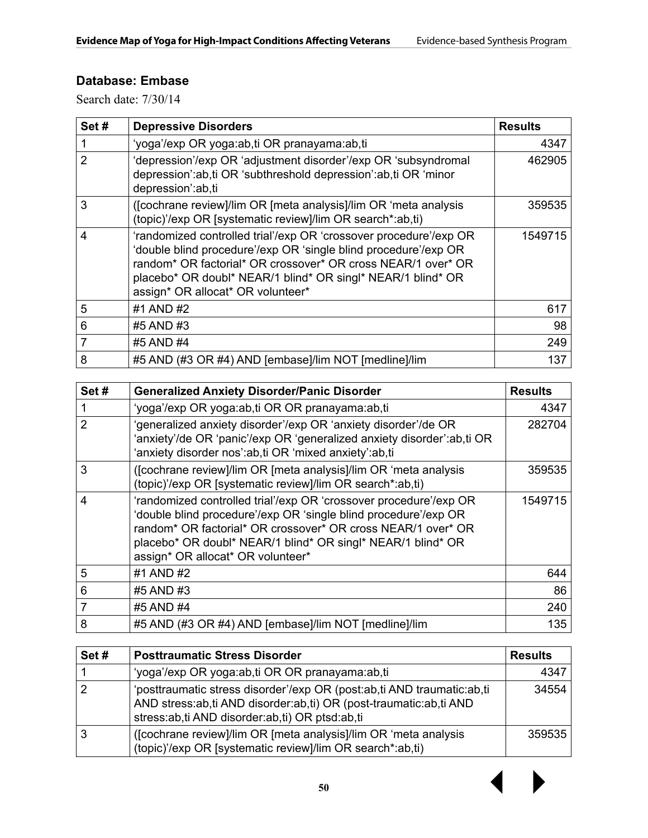#### **Database: Embase**

| Set# | <b>Depressive Disorders</b>                                                                                                                                                                                                                                                                              | <b>Results</b> |
|------|----------------------------------------------------------------------------------------------------------------------------------------------------------------------------------------------------------------------------------------------------------------------------------------------------------|----------------|
| 1    | 'yoga'/exp OR yoga:ab,ti OR pranayama:ab,ti                                                                                                                                                                                                                                                              | 4347           |
| 2    | 'depression'/exp OR 'adjustment disorder'/exp OR 'subsyndromal<br>depression':ab,ti OR 'subthreshold depression':ab,ti OR 'minor<br>depression':ab,ti                                                                                                                                                    | 462905         |
| 3    | ([cochrane review]/lim OR [meta analysis]/lim OR 'meta analysis<br>(topic)'/exp OR [systematic review]/lim OR search*:ab,ti)                                                                                                                                                                             | 359535         |
| 4    | 'randomized controlled trial'/exp OR 'crossover procedure'/exp OR<br>'double blind procedure'/exp OR 'single blind procedure'/exp OR<br>random* OR factorial* OR crossover* OR cross NEAR/1 over* OR<br>placebo* OR doubl* NEAR/1 blind* OR singl* NEAR/1 blind* OR<br>assign* OR allocat* OR volunteer* | 1549715        |
| 5    | #1 AND #2                                                                                                                                                                                                                                                                                                | 617            |
| 6    | #5 AND #3                                                                                                                                                                                                                                                                                                | 98             |
|      | #5 AND #4                                                                                                                                                                                                                                                                                                | 249            |
| 8    | #5 AND (#3 OR #4) AND [embase]/lim NOT [medline]/lim                                                                                                                                                                                                                                                     | 137            |

| Set#           | <b>Generalized Anxiety Disorder/Panic Disorder</b>                                                                                                                                                                                                                                                       | <b>Results</b> |
|----------------|----------------------------------------------------------------------------------------------------------------------------------------------------------------------------------------------------------------------------------------------------------------------------------------------------------|----------------|
|                | 'yoga'/exp OR yoga:ab,ti OR OR pranayama:ab,ti                                                                                                                                                                                                                                                           | 4347           |
| 2              | 'generalized anxiety disorder'/exp OR 'anxiety disorder'/de OR<br>'anxiety'/de OR 'panic'/exp OR 'generalized anxiety disorder':ab,ti OR<br>'anxiety disorder nos':ab,ti OR 'mixed anxiety':ab,ti                                                                                                        | 282704         |
| 3              | ([cochrane review]/lim OR [meta analysis]/lim OR 'meta analysis<br>(topic)'/exp OR [systematic review]/lim OR search*:ab,ti)                                                                                                                                                                             | 359535         |
| $\overline{4}$ | 'randomized controlled trial'/exp OR 'crossover procedure'/exp OR<br>'double blind procedure'/exp OR 'single blind procedure'/exp OR<br>random* OR factorial* OR crossover* OR cross NEAR/1 over* OR<br>placebo* OR doubl* NEAR/1 blind* OR singl* NEAR/1 blind* OR<br>assign* OR allocat* OR volunteer* | 1549715        |
| 5              | #1 AND #2                                                                                                                                                                                                                                                                                                | 644            |
| 6              | #5 AND #3                                                                                                                                                                                                                                                                                                | 86             |
| 7              | #5 AND #4                                                                                                                                                                                                                                                                                                | 240            |
| 8              | #5 AND (#3 OR #4) AND [embase]/lim NOT [medline]/lim                                                                                                                                                                                                                                                     | 135            |

| Set# | <b>Posttraumatic Stress Disorder</b>                                                                                                                                                          | <b>Results</b> |
|------|-----------------------------------------------------------------------------------------------------------------------------------------------------------------------------------------------|----------------|
|      | 'yoga'/exp OR yoga:ab,ti OR OR pranayama:ab,ti                                                                                                                                                | 4347           |
|      | 'posttraumatic stress disorder'/exp OR (post:ab,ti AND traumatic:ab,ti<br>AND stress:ab,ti AND disorder:ab,ti) OR (post-traumatic:ab,ti AND<br>stress:ab,ti AND disorder:ab,ti) OR ptsd:ab,ti | 34554          |
| 3    | ([cochrane review]/lim OR [meta analysis]/lim OR 'meta analysis<br>(topic)'/exp OR [systematic review]/lim OR search*:ab,ti)                                                                  | 359535         |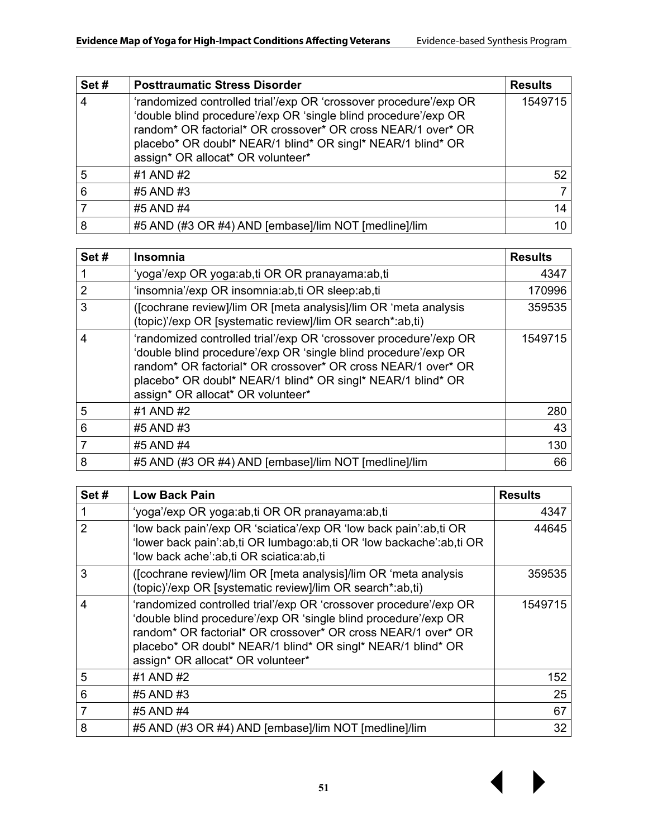| Set# | <b>Posttraumatic Stress Disorder</b>                                                                                                                                                                                                                                                                     | <b>Results</b> |
|------|----------------------------------------------------------------------------------------------------------------------------------------------------------------------------------------------------------------------------------------------------------------------------------------------------------|----------------|
| 4    | 'randomized controlled trial'/exp OR 'crossover procedure'/exp OR<br>'double blind procedure'/exp OR 'single blind procedure'/exp OR<br>random* OR factorial* OR crossover* OR cross NEAR/1 over* OR<br>placebo* OR doubl* NEAR/1 blind* OR singl* NEAR/1 blind* OR<br>assign* OR allocat* OR volunteer* | 1549715        |
| 5    | #1 AND #2                                                                                                                                                                                                                                                                                                | 52             |
| 6    | #5 AND #3                                                                                                                                                                                                                                                                                                |                |
|      | #5 AND #4                                                                                                                                                                                                                                                                                                | 14             |
| 8    | #5 AND (#3 OR #4) AND [embase]/lim NOT [medline]/lim                                                                                                                                                                                                                                                     | 10             |

| Set# | <b>Insomnia</b>                                                                                                                                                                                                                                                                                          | <b>Results</b> |
|------|----------------------------------------------------------------------------------------------------------------------------------------------------------------------------------------------------------------------------------------------------------------------------------------------------------|----------------|
|      | 'yoga'/exp OR yoga:ab,ti OR OR pranayama:ab,ti                                                                                                                                                                                                                                                           | 4347           |
| 2    | 'insomnia'/exp OR insomnia:ab,ti OR sleep:ab,ti                                                                                                                                                                                                                                                          | 170996         |
| 3    | ([cochrane review]/lim OR [meta analysis]/lim OR 'meta analysis<br>(topic)'/exp OR [systematic review]/lim OR search*:ab,ti)                                                                                                                                                                             | 359535         |
| 4    | 'randomized controlled trial'/exp OR 'crossover procedure'/exp OR<br>'double blind procedure'/exp OR 'single blind procedure'/exp OR<br>random* OR factorial* OR crossover* OR cross NEAR/1 over* OR<br>placebo* OR doubl* NEAR/1 blind* OR singl* NEAR/1 blind* OR<br>assign* OR allocat* OR volunteer* | 1549715        |
| 5    | #1 AND #2                                                                                                                                                                                                                                                                                                | 280            |
| 6    | #5 AND #3                                                                                                                                                                                                                                                                                                | 43             |
|      | #5 AND #4                                                                                                                                                                                                                                                                                                | 130            |
| 8    | #5 AND (#3 OR #4) AND [embase]/lim NOT [medline]/lim                                                                                                                                                                                                                                                     | 66             |

| Set# | <b>Low Back Pain</b>                                                                                                                                                                                                                                                                                     | <b>Results</b> |
|------|----------------------------------------------------------------------------------------------------------------------------------------------------------------------------------------------------------------------------------------------------------------------------------------------------------|----------------|
|      | 'yoga'/exp OR yoga:ab,ti OR OR pranayama:ab,ti                                                                                                                                                                                                                                                           | 4347           |
| 2    | 'low back pain'/exp OR 'sciatica'/exp OR 'low back pain':ab,ti OR<br>'lower back pain':ab,ti OR lumbago:ab,ti OR 'low backache':ab,ti OR<br>'low back ache':ab,ti OR sciatica:ab,ti                                                                                                                      | 44645          |
| 3    | ([cochrane review]/lim OR [meta analysis]/lim OR 'meta analysis<br>(topic)'/exp OR [systematic review]/lim OR search*:ab,ti)                                                                                                                                                                             | 359535         |
| 4    | 'randomized controlled trial'/exp OR 'crossover procedure'/exp OR<br>'double blind procedure'/exp OR 'single blind procedure'/exp OR<br>random* OR factorial* OR crossover* OR cross NEAR/1 over* OR<br>placebo* OR doubl* NEAR/1 blind* OR singl* NEAR/1 blind* OR<br>assign* OR allocat* OR volunteer* | 1549715        |
| 5    | #1 AND #2                                                                                                                                                                                                                                                                                                | 152            |
| 6    | #5 AND #3                                                                                                                                                                                                                                                                                                | 25             |
| 7    | #5 AND #4                                                                                                                                                                                                                                                                                                | 67             |
| 8    | #5 AND (#3 OR #4) AND [embase]/lim NOT [medline]/lim                                                                                                                                                                                                                                                     | 32             |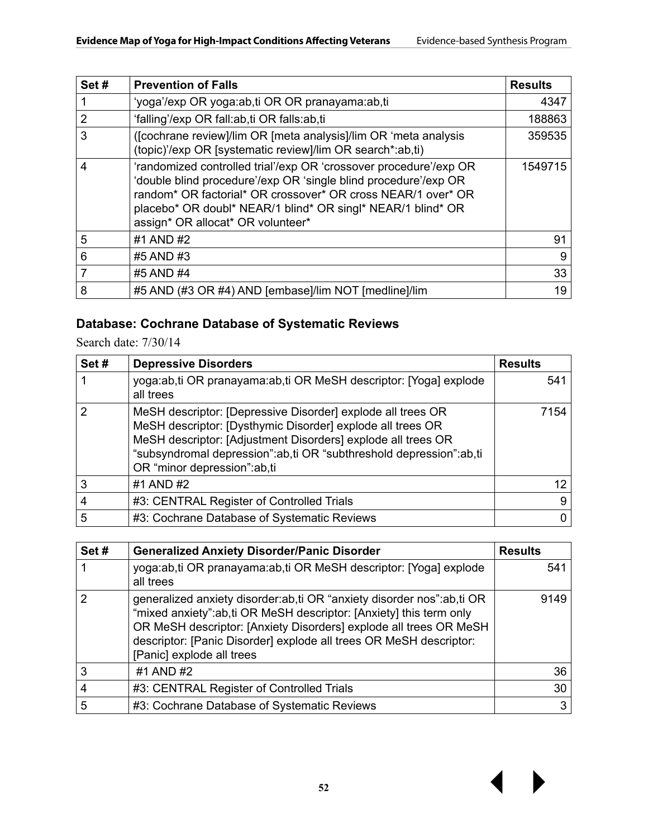| Set# | <b>Prevention of Falls</b>                                                                                                                                                                                                                                                                               | <b>Results</b> |
|------|----------------------------------------------------------------------------------------------------------------------------------------------------------------------------------------------------------------------------------------------------------------------------------------------------------|----------------|
|      | 'yoga'/exp OR yoga:ab,ti OR OR pranayama:ab,ti                                                                                                                                                                                                                                                           | 4347           |
| 2    | 'falling'/exp OR fall:ab,ti OR falls:ab,ti                                                                                                                                                                                                                                                               | 188863         |
| 3    | ([cochrane review]/lim OR [meta analysis]/lim OR 'meta analysis<br>(topic)'/exp OR [systematic review]/lim OR search*:ab,ti)                                                                                                                                                                             | 359535         |
| 4    | 'randomized controlled trial'/exp OR 'crossover procedure'/exp OR<br>'double blind procedure'/exp OR 'single blind procedure'/exp OR<br>random* OR factorial* OR crossover* OR cross NEAR/1 over* OR<br>placebo* OR doubl* NEAR/1 blind* OR singl* NEAR/1 blind* OR<br>assign* OR allocat* OR volunteer* | 1549715        |
| 5    | #1 AND #2                                                                                                                                                                                                                                                                                                | 91             |
| 6    | #5 AND #3                                                                                                                                                                                                                                                                                                | 9              |
| 7    | #5 AND #4                                                                                                                                                                                                                                                                                                | 33             |
| 8    | #5 AND (#3 OR #4) AND [embase]/lim NOT [medline]/lim                                                                                                                                                                                                                                                     | 19             |

### **Database: Cochrane Database of Systematic Reviews**

| Set# | <b>Depressive Disorders</b>                                                                                                                                                                                                                                                                    | <b>Results</b> |
|------|------------------------------------------------------------------------------------------------------------------------------------------------------------------------------------------------------------------------------------------------------------------------------------------------|----------------|
|      | yoga:ab,ti OR pranayama:ab,ti OR MeSH descriptor: [Yoga] explode<br>all trees                                                                                                                                                                                                                  | 541            |
| 2    | MeSH descriptor: [Depressive Disorder] explode all trees OR<br>MeSH descriptor: [Dysthymic Disorder] explode all trees OR<br>MeSH descriptor: [Adjustment Disorders] explode all trees OR<br>"subsyndromal depression":ab,ti OR "subthreshold depression":ab,ti<br>OR "minor depression":ab,ti | 7154           |
| 3    | #1 AND #2                                                                                                                                                                                                                                                                                      | 12             |
|      | #3: CENTRAL Register of Controlled Trials                                                                                                                                                                                                                                                      | 9              |
| 5    | #3: Cochrane Database of Systematic Reviews                                                                                                                                                                                                                                                    | 0              |

| Set# | <b>Generalized Anxiety Disorder/Panic Disorder</b>                                                                                                                                                                                                                                                                  | <b>Results</b> |
|------|---------------------------------------------------------------------------------------------------------------------------------------------------------------------------------------------------------------------------------------------------------------------------------------------------------------------|----------------|
|      | yoga:ab,ti OR pranayama:ab,ti OR MeSH descriptor: [Yoga] explode<br>all trees                                                                                                                                                                                                                                       | 541            |
| 2    | generalized anxiety disorder:ab,ti OR "anxiety disorder nos":ab,ti OR<br>"mixed anxiety":ab,ti OR MeSH descriptor: [Anxiety] this term only<br>OR MeSH descriptor: [Anxiety Disorders] explode all trees OR MeSH<br>descriptor: [Panic Disorder] explode all trees OR MeSH descriptor:<br>[Panic] explode all trees | 9149           |
| 3    | #1 AND #2                                                                                                                                                                                                                                                                                                           | 36             |
|      | #3: CENTRAL Register of Controlled Trials                                                                                                                                                                                                                                                                           | 30             |
| 5    | #3: Cochrane Database of Systematic Reviews                                                                                                                                                                                                                                                                         | 3              |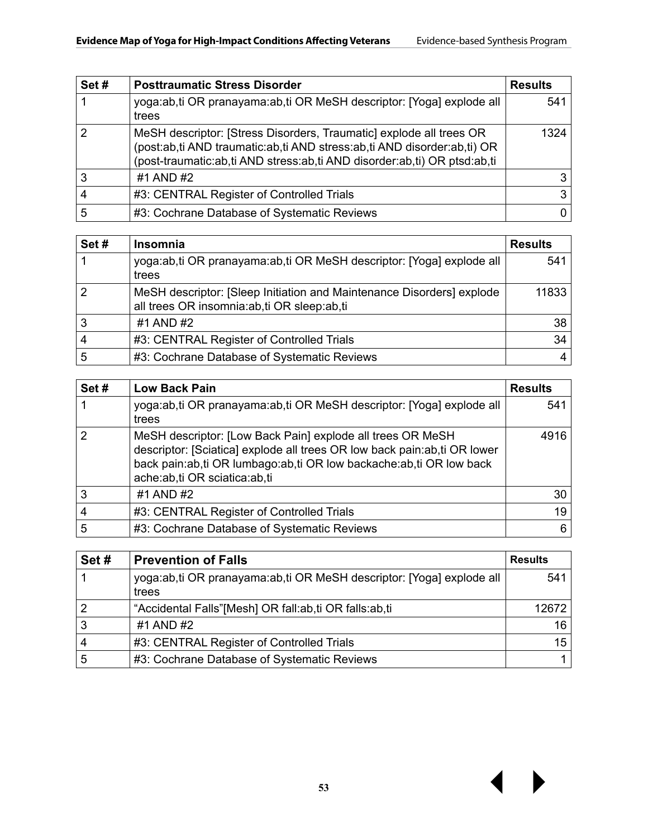| Set# | <b>Posttraumatic Stress Disorder</b>                                                                                                                                                                                       | <b>Results</b> |
|------|----------------------------------------------------------------------------------------------------------------------------------------------------------------------------------------------------------------------------|----------------|
|      | yoga:ab,ti OR pranayama:ab,ti OR MeSH descriptor: [Yoga] explode all<br>trees                                                                                                                                              | 541            |
| 2    | MeSH descriptor: [Stress Disorders, Traumatic] explode all trees OR<br>(post:ab,ti AND traumatic:ab,ti AND stress:ab,ti AND disorder:ab,ti) OR<br>(post-traumatic:ab,ti AND stress:ab,ti AND disorder:ab,ti) OR ptsd:ab,ti | 1324           |
| 3    | #1 AND #2                                                                                                                                                                                                                  | 3              |
| 4    | #3: CENTRAL Register of Controlled Trials                                                                                                                                                                                  | 3              |
| 5    | #3: Cochrane Database of Systematic Reviews                                                                                                                                                                                |                |

| Set# | <b>Insomnia</b>                                                                                                     | <b>Results</b> |
|------|---------------------------------------------------------------------------------------------------------------------|----------------|
|      | yoga:ab,ti OR pranayama:ab,ti OR MeSH descriptor: [Yoga] explode all<br>trees                                       | 541            |
| 2    | MeSH descriptor: [Sleep Initiation and Maintenance Disorders] explode<br>all trees OR insomnia:ab,ti OR sleep:ab,ti | 11833          |
| 3    | #1 AND #2                                                                                                           | 38             |
| 4    | #3: CENTRAL Register of Controlled Trials                                                                           | 34             |
| 5    | #3: Cochrane Database of Systematic Reviews                                                                         | 4              |

| Set# | <b>Low Back Pain</b>                                                                                                                                                                                                                           | <b>Results</b> |
|------|------------------------------------------------------------------------------------------------------------------------------------------------------------------------------------------------------------------------------------------------|----------------|
|      | yoga:ab,ti OR pranayama:ab,ti OR MeSH descriptor: [Yoga] explode all<br>trees                                                                                                                                                                  | 541            |
| 2    | MeSH descriptor: [Low Back Pain] explode all trees OR MeSH<br>descriptor: [Sciatica] explode all trees OR low back pain: ab, ti OR lower<br>back pain:ab,ti OR lumbago:ab,ti OR low backache:ab,ti OR low back<br>ache:ab,ti OR sciatica:ab,ti | 4916           |
| 3    | #1 AND #2                                                                                                                                                                                                                                      | 30             |
| 4    | #3: CENTRAL Register of Controlled Trials                                                                                                                                                                                                      | 19             |
| 5    | #3: Cochrane Database of Systematic Reviews                                                                                                                                                                                                    | 6              |

| Set#           | <b>Prevention of Falls</b>                                                    | <b>Results</b> |
|----------------|-------------------------------------------------------------------------------|----------------|
|                | yoga:ab,ti OR pranayama:ab,ti OR MeSH descriptor: [Yoga] explode all<br>trees | 541            |
| $\overline{2}$ | "Accidental Falls"[Mesh] OR fall:ab,ti OR falls:ab,ti                         | 12672          |
| 3              | #1 AND #2                                                                     | 16             |
| 4              | #3: CENTRAL Register of Controlled Trials                                     | 15             |
| 5              | #3: Cochrane Database of Systematic Reviews                                   |                |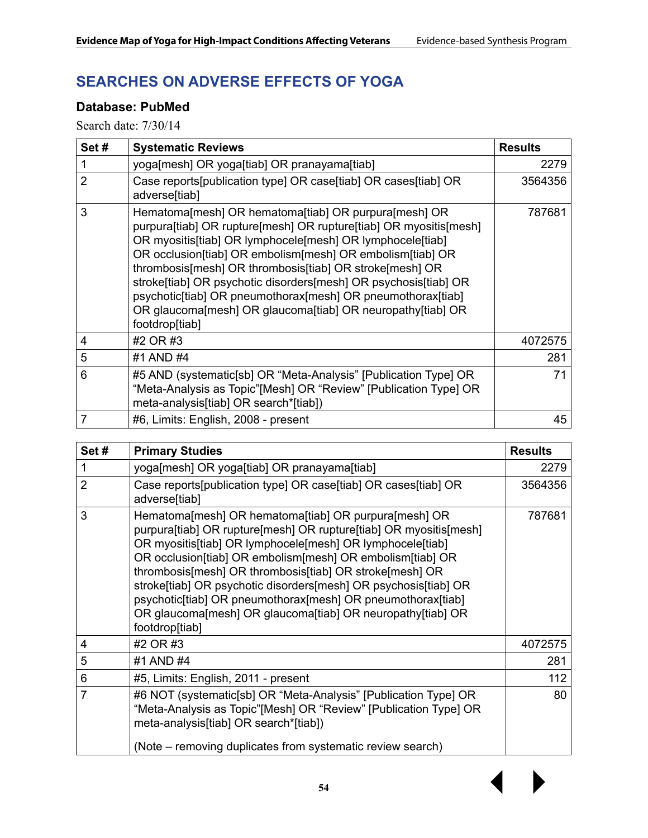### **SEARCHES ON ADVERSE EFFECTS OF YOGA**

#### **Database: PubMed**

| Set# | <b>Systematic Reviews</b>                                                                                                                                                                                                                                                                                                                                                                                                                                                                                                        | <b>Results</b> |
|------|----------------------------------------------------------------------------------------------------------------------------------------------------------------------------------------------------------------------------------------------------------------------------------------------------------------------------------------------------------------------------------------------------------------------------------------------------------------------------------------------------------------------------------|----------------|
| 1    | yoga[mesh] OR yoga[tiab] OR pranayama[tiab]                                                                                                                                                                                                                                                                                                                                                                                                                                                                                      | 2279           |
| 2    | Case reports[publication type] OR case[tiab] OR cases[tiab] OR<br>adverse[tiab]                                                                                                                                                                                                                                                                                                                                                                                                                                                  | 3564356        |
| 3    | Hematoma[mesh] OR hematoma[tiab] OR purpura[mesh] OR<br>purpura[tiab] OR rupture[mesh] OR rupture[tiab] OR myositis[mesh]<br>OR myositis[tiab] OR lymphocele[mesh] OR lymphocele[tiab]<br>OR occlusion[tiab] OR embolism[mesh] OR embolism[tiab] OR<br>thrombosis[mesh] OR thrombosis[tiab] OR stroke[mesh] OR<br>stroke[tiab] OR psychotic disorders[mesh] OR psychosis[tiab] OR<br>psychotic[tiab] OR pneumothorax[mesh] OR pneumothorax[tiab]<br>OR glaucoma[mesh] OR glaucoma[tiab] OR neuropathy[tiab] OR<br>footdrop[tiab] | 787681         |
| 4    | #2 OR #3                                                                                                                                                                                                                                                                                                                                                                                                                                                                                                                         | 4072575        |
| 5    | #1 AND #4                                                                                                                                                                                                                                                                                                                                                                                                                                                                                                                        | 281            |
| 6    | #5 AND (systematic[sb] OR "Meta-Analysis" [Publication Type] OR<br>"Meta-Analysis as Topic"[Mesh] OR "Review" [Publication Type] OR<br>meta-analysis[tiab] OR search*[tiab])                                                                                                                                                                                                                                                                                                                                                     | 71             |
| 7    | #6, Limits: English, 2008 - present                                                                                                                                                                                                                                                                                                                                                                                                                                                                                              | 45             |

| Set#           | <b>Primary Studies</b>                                                                                                                                                                                                                                                                                                                                                                                                                                                                                                           | <b>Results</b> |
|----------------|----------------------------------------------------------------------------------------------------------------------------------------------------------------------------------------------------------------------------------------------------------------------------------------------------------------------------------------------------------------------------------------------------------------------------------------------------------------------------------------------------------------------------------|----------------|
| 1              | yoga[mesh] OR yoga[tiab] OR pranayama[tiab]                                                                                                                                                                                                                                                                                                                                                                                                                                                                                      | 2279           |
| $\overline{2}$ | Case reports[publication type] OR case[tiab] OR cases[tiab] OR<br>adverse[tiab]                                                                                                                                                                                                                                                                                                                                                                                                                                                  | 3564356        |
| 3              | Hematoma[mesh] OR hematoma[tiab] OR purpura[mesh] OR<br>purpura[tiab] OR rupture[mesh] OR rupture[tiab] OR myositis[mesh]<br>OR myositis[tiab] OR lymphocele[mesh] OR lymphocele[tiab]<br>OR occlusion[tiab] OR embolism[mesh] OR embolism[tiab] OR<br>thrombosis[mesh] OR thrombosis[tiab] OR stroke[mesh] OR<br>stroke[tiab] OR psychotic disorders[mesh] OR psychosis[tiab] OR<br>psychotic[tiab] OR pneumothorax[mesh] OR pneumothorax[tiab]<br>OR glaucoma[mesh] OR glaucoma[tiab] OR neuropathy[tiab] OR<br>footdrop[tiab] | 787681         |
| 4              | #2 OR #3                                                                                                                                                                                                                                                                                                                                                                                                                                                                                                                         | 4072575        |
| 5              | #1 AND #4                                                                                                                                                                                                                                                                                                                                                                                                                                                                                                                        | 281            |
| 6              | #5, Limits: English, 2011 - present                                                                                                                                                                                                                                                                                                                                                                                                                                                                                              | 112            |
| 7              | #6 NOT (systematic[sb] OR "Meta-Analysis" [Publication Type] OR<br>"Meta-Analysis as Topic"[Mesh] OR "Review" [Publication Type] OR<br>meta-analysis[tiab] OR search*[tiab])<br>(Note – removing duplicates from systematic review search)                                                                                                                                                                                                                                                                                       | 80             |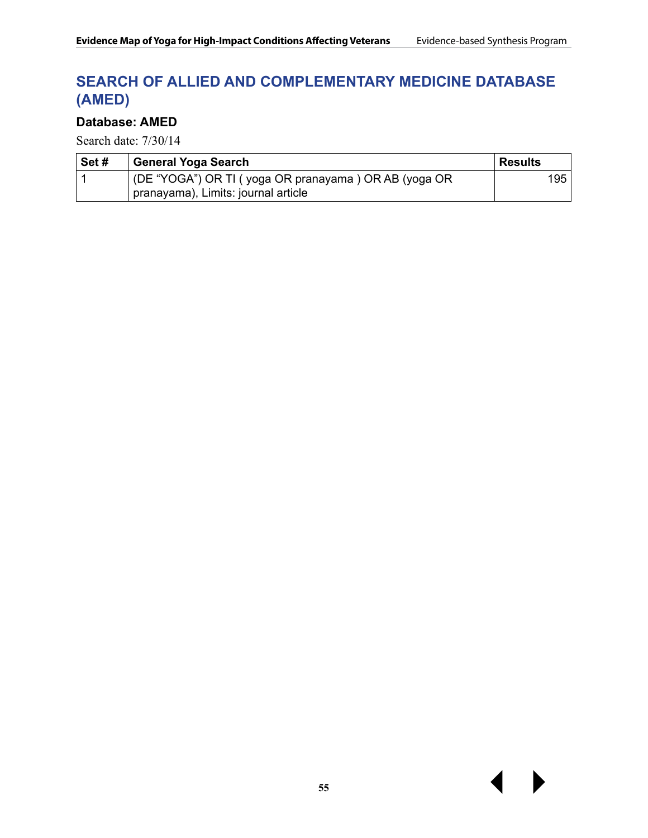### **SEARCH OF ALLIED AND COMPLEMENTARY MEDICINE DATABASE (AMED)**

#### **Database: AMED**

| Set# | General Yoga Search                                  | ∣ Results |
|------|------------------------------------------------------|-----------|
|      | (DE "YOGA") OR TI (yoga OR pranayama) OR AB (yoga OR | 195       |
|      | pranayama), Limits: journal article                  |           |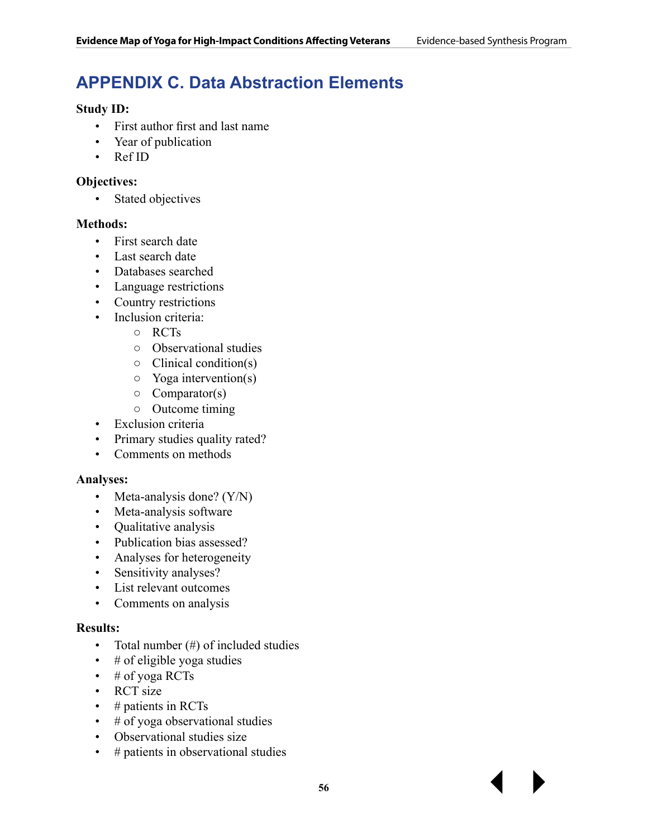# **APPENDIX C. Data Abstraction Elements**

#### **Study ID:**

- First author first and last name
- Year of publication
- Ref ID

#### **Objectives:**

• Stated objectives

#### **Methods:**

- First search date
- Last search date
- Databases searched
- Language restrictions
- Country restrictions
- Inclusion criteria:
	- RCTs
	- Observational studies
	- $\circ$  Clinical condition(s)
	- Yoga intervention(s)
	- $\circ$  Comparator(s)
	- Outcome timing
- Exclusion criteria
- Primary studies quality rated?
- Comments on methods

#### **Analyses:**

- Meta-analysis done? (Y/N)
- Meta-analysis software
- Qualitative analysis
- Publication bias assessed?
- Analyses for heterogeneity
- Sensitivity analyses?
- List relevant outcomes
- Comments on analysis

#### **Results:**

- Total number (#) of included studies
- $\cdot$  # of eligible yoga studies
- $\cdot$  # of yoga RCTs
- RCT size
- $\cdot$  # patients in RCTs
- $\cdot$  # of yoga observational studies
- Observational studies size
- # patients in observational studies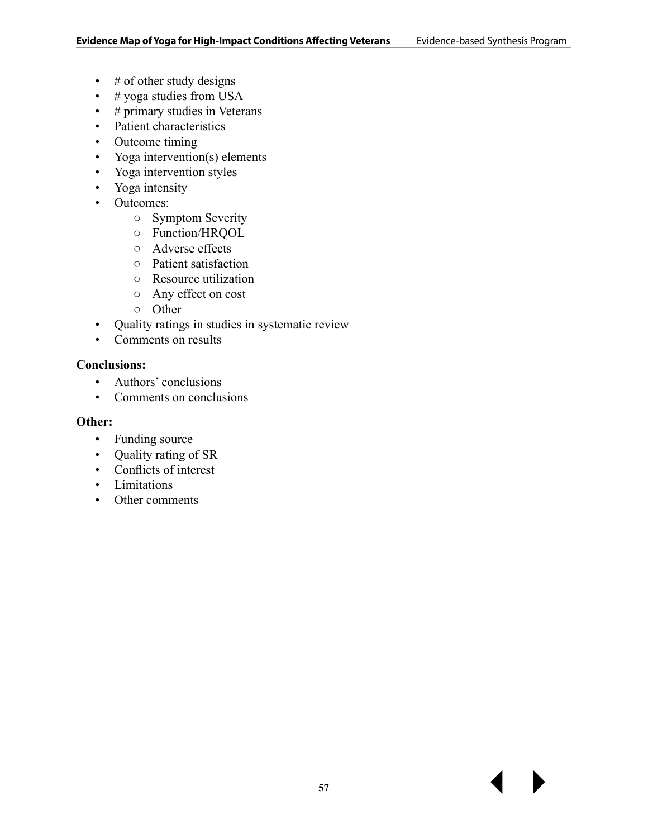- $\cdot$  # of other study designs
- $\cdot$  # yoga studies from USA
- # primary studies in Veterans
- Patient characteristics
- Outcome timing
- Yoga intervention(s) elements
- Yoga intervention styles
- Yoga intensity
- Outcomes:
	- Symptom Severity
	- Function/HRQOL
	- Adverse effects
	- Patient satisfaction
	- Resource utilization
	- Any effect on cost
	- Other
- Quality ratings in studies in systematic review
- Comments on results

#### **Conclusions:**

- Authors' conclusions
- Comments on conclusions

#### **Other:**

- Funding source
- Quality rating of SR
- Conflicts of interest
- Limitations
- Other comments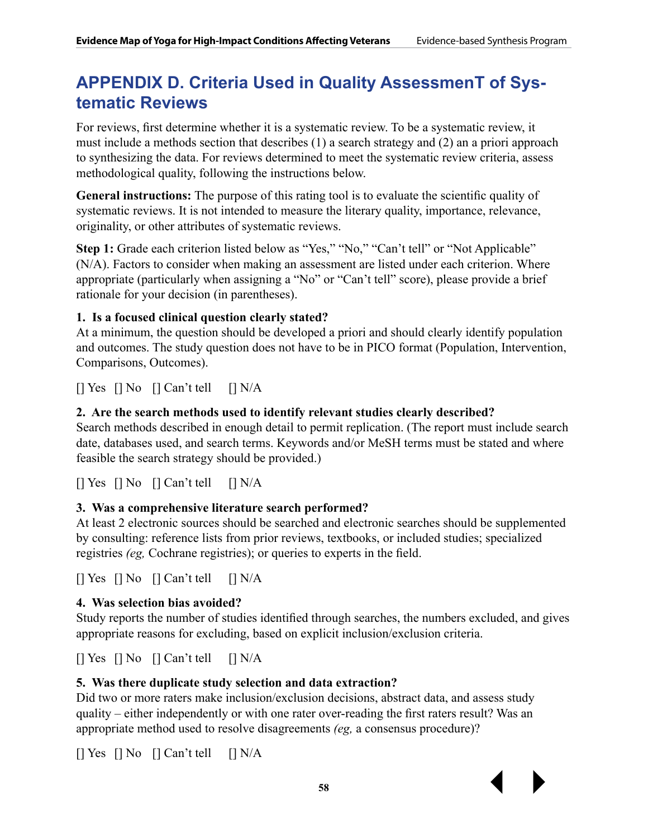## **APPENDIX D. Criteria Used in Quality AssessmenT of Systematic Reviews**

For reviews, first determine whether it is a systematic review. To be a systematic review, it must include a methods section that describes (1) a search strategy and (2) an a priori approach to synthesizing the data. For reviews determined to meet the systematic review criteria, assess methodological quality, following the instructions below.

**General instructions:** The purpose of this rating tool is to evaluate the scientific quality of systematic reviews. It is not intended to measure the literary quality, importance, relevance, originality, or other attributes of systematic reviews.

**Step 1:** Grade each criterion listed below as "Yes," "No," "Can't tell" or "Not Applicable" (N/A). Factors to consider when making an assessment are listed under each criterion. Where appropriate (particularly when assigning a "No" or "Can't tell" score), please provide a brief rationale for your decision (in parentheses).

#### **1. Is a focused clinical question clearly stated?**

At a minimum, the question should be developed a priori and should clearly identify population and outcomes. The study question does not have to be in PICO format (Population, Intervention, Comparisons, Outcomes).

 $\lceil \cdot \rceil$  Yes  $\lceil \cdot \rceil$  No  $\lceil \cdot \rceil$  Can't tell  $\lceil \cdot \rceil$  N/A

#### **2. Are the search methods used to identify relevant studies clearly described?**

Search methods described in enough detail to permit replication. (The report must include search date, databases used, and search terms. Keywords and/or MeSH terms must be stated and where feasible the search strategy should be provided.)

 $\lceil \cdot \rceil$  Yes  $\lceil \cdot \rceil$  No  $\lceil \cdot \rceil$  Can't tell  $\lceil \cdot \rceil$  N/A

#### **3. Was a comprehensive literature search performed?**

At least 2 electronic sources should be searched and electronic searches should be supplemented by consulting: reference lists from prior reviews, textbooks, or included studies; specialized registries *(eg,* Cochrane registries); or queries to experts in the field.

 $\lceil \cdot \rceil$  Yes  $\lceil \cdot \rceil$  No  $\lceil \cdot \rceil$  Can't tell  $\lceil \cdot \rceil$  N/A

#### **4. Was selection bias avoided?**

Study reports the number of studies identified through searches, the numbers excluded, and gives appropriate reasons for excluding, based on explicit inclusion/exclusion criteria.

 $[$  Yes  $[$  No  $[$  Can't tell  $[$  N/A

#### **5. Was there duplicate study selection and data extraction?**

Did two or more raters make inclusion/exclusion decisions, abstract data, and assess study quality – either independently or with one rater over-reading the first raters result? Was an appropriate method used to resolve disagreements *(eg,* a consensus procedure)?

 $[$  Yes  $[$  No  $[$  Can't tell  $[$  N/A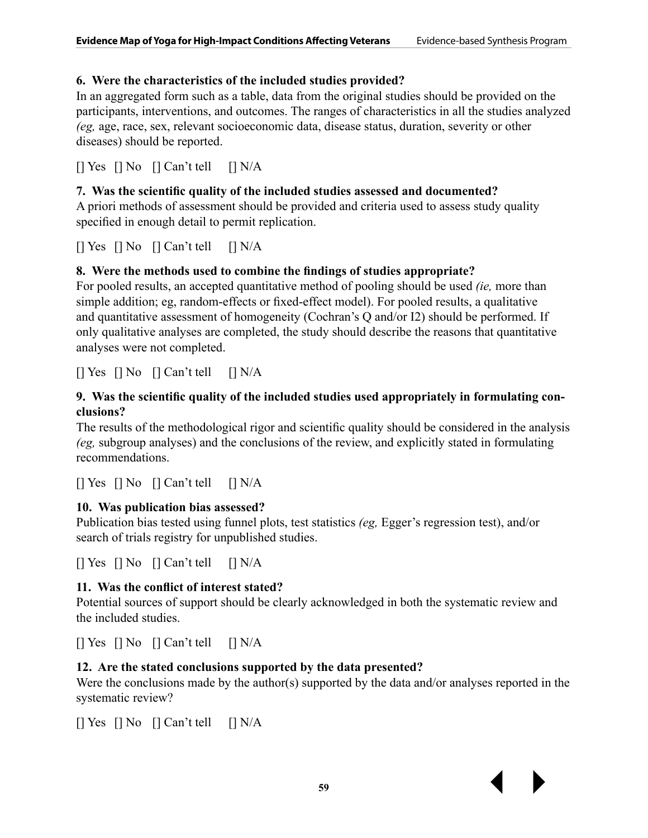#### **6. Were the characteristics of the included studies provided?**

In an aggregated form such as a table, data from the original studies should be provided on the participants, interventions, and outcomes. The ranges of characteristics in all the studies analyzed *(eg,* age, race, sex, relevant socioeconomic data, disease status, duration, severity or other diseases) should be reported.

 $[$  Yes  $[$  No  $[$  Can't tell  $[$  N/A

#### **7. Was the scientific quality of the included studies assessed and documented?**

A priori methods of assessment should be provided and criteria used to assess study quality specified in enough detail to permit replication.

 $\lceil \cdot \rceil$  Yes  $\lceil \cdot \rceil$  No  $\lceil \cdot \rceil$  Can't tell  $\lceil \cdot \rceil$  N/A

#### **8. Were the methods used to combine the findings of studies appropriate?**

For pooled results, an accepted quantitative method of pooling should be used *(ie,* more than simple addition; eg, random-effects or fixed-effect model). For pooled results, a qualitative and quantitative assessment of homogeneity (Cochran's Q and/or I2) should be performed. If only qualitative analyses are completed, the study should describe the reasons that quantitative analyses were not completed.

[] Yes [] No [] Can't tell [] N/A

#### **9. Was the scientific quality of the included studies used appropriately in formulating conclusions?**

The results of the methodological rigor and scientific quality should be considered in the analysis *(eg,* subgroup analyses) and the conclusions of the review, and explicitly stated in formulating recommendations.

 $[$  Yes  $[$  No  $[$  Can't tell  $[$  N/A

#### **10. Was publication bias assessed?**

Publication bias tested using funnel plots, test statistics *(eg,* Egger's regression test), and/or search of trials registry for unpublished studies.

 $[$  Yes  $[$  No  $[$  Can't tell  $[$  N/A

#### **11. Was the conflict of interest stated?**

Potential sources of support should be clearly acknowledged in both the systematic review and the included studies.

 $[$  Yes  $[$  No  $[$  Can't tell  $[$  N/A

#### **12. Are the stated conclusions supported by the data presented?**

Were the conclusions made by the author(s) supported by the data and/or analyses reported in the systematic review?

[] Yes [] No [] Can't tell [] N/A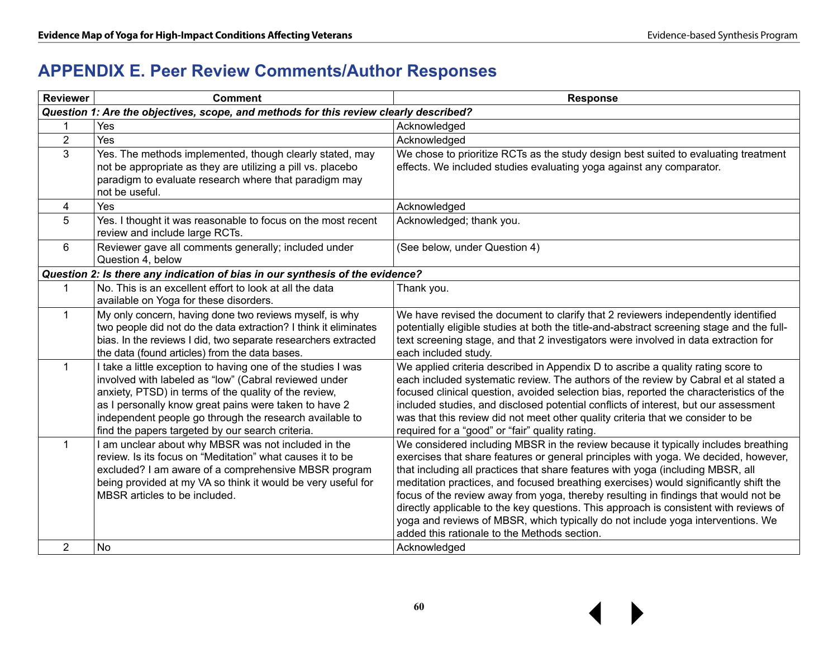# **APPENDIX E. Peer Review Comments/Author Responses**

| <b>Reviewer</b> | <b>Comment</b>                                                                                                                                                                                                                                                                                                                                         | <b>Response</b>                                                                                                                                                                                                                                                                                                                                                                                                                                                                                                                                                                                                                                                         |
|-----------------|--------------------------------------------------------------------------------------------------------------------------------------------------------------------------------------------------------------------------------------------------------------------------------------------------------------------------------------------------------|-------------------------------------------------------------------------------------------------------------------------------------------------------------------------------------------------------------------------------------------------------------------------------------------------------------------------------------------------------------------------------------------------------------------------------------------------------------------------------------------------------------------------------------------------------------------------------------------------------------------------------------------------------------------------|
|                 | Question 1: Are the objectives, scope, and methods for this review clearly described?                                                                                                                                                                                                                                                                  |                                                                                                                                                                                                                                                                                                                                                                                                                                                                                                                                                                                                                                                                         |
|                 | Yes                                                                                                                                                                                                                                                                                                                                                    | Acknowledged                                                                                                                                                                                                                                                                                                                                                                                                                                                                                                                                                                                                                                                            |
| $\overline{2}$  | Yes                                                                                                                                                                                                                                                                                                                                                    | Acknowledged                                                                                                                                                                                                                                                                                                                                                                                                                                                                                                                                                                                                                                                            |
| 3               | Yes. The methods implemented, though clearly stated, may<br>not be appropriate as they are utilizing a pill vs. placebo<br>paradigm to evaluate research where that paradigm may<br>not be useful.                                                                                                                                                     | We chose to prioritize RCTs as the study design best suited to evaluating treatment<br>effects. We included studies evaluating yoga against any comparator.                                                                                                                                                                                                                                                                                                                                                                                                                                                                                                             |
| $\overline{4}$  | Yes                                                                                                                                                                                                                                                                                                                                                    | Acknowledged                                                                                                                                                                                                                                                                                                                                                                                                                                                                                                                                                                                                                                                            |
| 5               | Yes. I thought it was reasonable to focus on the most recent<br>review and include large RCTs.                                                                                                                                                                                                                                                         | Acknowledged; thank you.                                                                                                                                                                                                                                                                                                                                                                                                                                                                                                                                                                                                                                                |
| 6               | Reviewer gave all comments generally; included under<br>Question 4, below                                                                                                                                                                                                                                                                              | (See below, under Question 4)                                                                                                                                                                                                                                                                                                                                                                                                                                                                                                                                                                                                                                           |
|                 | Question 2: Is there any indication of bias in our synthesis of the evidence?                                                                                                                                                                                                                                                                          |                                                                                                                                                                                                                                                                                                                                                                                                                                                                                                                                                                                                                                                                         |
| 1               | No. This is an excellent effort to look at all the data<br>available on Yoga for these disorders.                                                                                                                                                                                                                                                      | Thank you.                                                                                                                                                                                                                                                                                                                                                                                                                                                                                                                                                                                                                                                              |
| $\mathbf 1$     | My only concern, having done two reviews myself, is why<br>two people did not do the data extraction? I think it eliminates<br>bias. In the reviews I did, two separate researchers extracted<br>the data (found articles) from the data bases.                                                                                                        | We have revised the document to clarify that 2 reviewers independently identified<br>potentially eligible studies at both the title-and-abstract screening stage and the full-<br>text screening stage, and that 2 investigators were involved in data extraction for<br>each included study.                                                                                                                                                                                                                                                                                                                                                                           |
| $\mathbf{1}$    | I take a little exception to having one of the studies I was<br>involved with labeled as "low" (Cabral reviewed under<br>anxiety, PTSD) in terms of the quality of the review,<br>as I personally know great pains were taken to have 2<br>independent people go through the research available to<br>find the papers targeted by our search criteria. | We applied criteria described in Appendix D to ascribe a quality rating score to<br>each included systematic review. The authors of the review by Cabral et al stated a<br>focused clinical question, avoided selection bias, reported the characteristics of the<br>included studies, and disclosed potential conflicts of interest, but our assessment<br>was that this review did not meet other quality criteria that we consider to be<br>required for a "good" or "fair" quality rating.                                                                                                                                                                          |
| $\mathbf{1}$    | I am unclear about why MBSR was not included in the<br>review. Is its focus on "Meditation" what causes it to be<br>excluded? I am aware of a comprehensive MBSR program<br>being provided at my VA so think it would be very useful for<br>MBSR articles to be included.                                                                              | We considered including MBSR in the review because it typically includes breathing<br>exercises that share features or general principles with yoga. We decided, however,<br>that including all practices that share features with yoga (including MBSR, all<br>meditation practices, and focused breathing exercises) would significantly shift the<br>focus of the review away from yoga, thereby resulting in findings that would not be<br>directly applicable to the key questions. This approach is consistent with reviews of<br>yoga and reviews of MBSR, which typically do not include yoga interventions. We<br>added this rationale to the Methods section. |
| $\overline{2}$  | No                                                                                                                                                                                                                                                                                                                                                     | Acknowledged                                                                                                                                                                                                                                                                                                                                                                                                                                                                                                                                                                                                                                                            |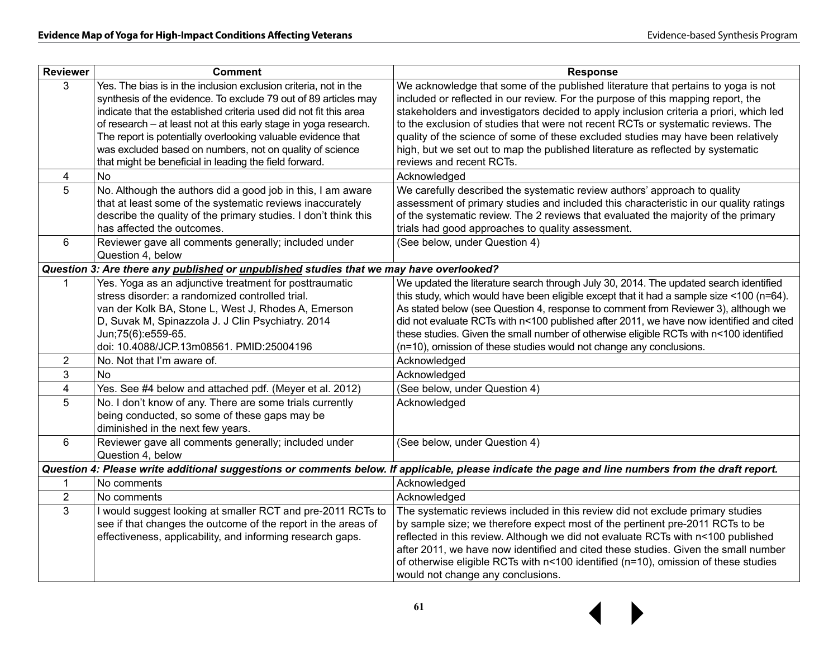| <b>Reviewer</b> | <b>Comment</b>                                                                                                                                                                                           | <b>Response</b>                                                                                                                                                                                                                                                 |
|-----------------|----------------------------------------------------------------------------------------------------------------------------------------------------------------------------------------------------------|-----------------------------------------------------------------------------------------------------------------------------------------------------------------------------------------------------------------------------------------------------------------|
| 3               | Yes. The bias is in the inclusion exclusion criteria, not in the<br>synthesis of the evidence. To exclude 79 out of 89 articles may<br>indicate that the established criteria used did not fit this area | We acknowledge that some of the published literature that pertains to yoga is not<br>included or reflected in our review. For the purpose of this mapping report, the<br>stakeholders and investigators decided to apply inclusion criteria a priori, which led |
|                 | of research – at least not at this early stage in yoga research.                                                                                                                                         | to the exclusion of studies that were not recent RCTs or systematic reviews. The                                                                                                                                                                                |
|                 | The report is potentially overlooking valuable evidence that<br>was excluded based on numbers, not on quality of science                                                                                 | quality of the science of some of these excluded studies may have been relatively<br>high, but we set out to map the published literature as reflected by systematic                                                                                            |
|                 | that might be beneficial in leading the field forward.                                                                                                                                                   | reviews and recent RCTs.                                                                                                                                                                                                                                        |
| 4               | No                                                                                                                                                                                                       | Acknowledged                                                                                                                                                                                                                                                    |
| 5               | No. Although the authors did a good job in this, I am aware                                                                                                                                              | We carefully described the systematic review authors' approach to quality                                                                                                                                                                                       |
|                 | that at least some of the systematic reviews inaccurately<br>describe the quality of the primary studies. I don't think this<br>has affected the outcomes.                                               | assessment of primary studies and included this characteristic in our quality ratings<br>of the systematic review. The 2 reviews that evaluated the majority of the primary<br>trials had good approaches to quality assessment.                                |
| 6               | Reviewer gave all comments generally; included under<br>Question 4, below                                                                                                                                | (See below, under Question 4)                                                                                                                                                                                                                                   |
|                 | Question 3: Are there any published or unpublished studies that we may have overlooked?                                                                                                                  |                                                                                                                                                                                                                                                                 |
| 1               | Yes. Yoga as an adjunctive treatment for posttraumatic<br>stress disorder: a randomized controlled trial.                                                                                                | We updated the literature search through July 30, 2014. The updated search identified<br>this study, which would have been eligible except that it had a sample size <100 (n=64).                                                                               |
|                 | van der Kolk BA, Stone L, West J, Rhodes A, Emerson                                                                                                                                                      | As stated below (see Question 4, response to comment from Reviewer 3), although we                                                                                                                                                                              |
|                 | D, Suvak M, Spinazzola J. J Clin Psychiatry. 2014                                                                                                                                                        | did not evaluate RCTs with n<100 published after 2011, we have now identified and cited                                                                                                                                                                         |
|                 | Jun;75(6):e559-65.                                                                                                                                                                                       | these studies. Given the small number of otherwise eligible RCTs with n<100 identified                                                                                                                                                                          |
|                 | doi: 10.4088/JCP.13m08561. PMID:25004196                                                                                                                                                                 | (n=10), omission of these studies would not change any conclusions.                                                                                                                                                                                             |
| $\overline{2}$  | No. Not that I'm aware of.                                                                                                                                                                               | Acknowledged                                                                                                                                                                                                                                                    |
| 3               | <b>No</b>                                                                                                                                                                                                | Acknowledged                                                                                                                                                                                                                                                    |
| $\overline{4}$  | Yes. See #4 below and attached pdf. (Meyer et al. 2012)                                                                                                                                                  | (See below, under Question 4)                                                                                                                                                                                                                                   |
| 5               | No. I don't know of any. There are some trials currently<br>being conducted, so some of these gaps may be<br>diminished in the next few years.                                                           | Acknowledged                                                                                                                                                                                                                                                    |
| 6               | Reviewer gave all comments generally; included under<br>Question 4, below                                                                                                                                | (See below, under Question 4)                                                                                                                                                                                                                                   |
|                 |                                                                                                                                                                                                          | Question 4: Please write additional suggestions or comments below. If applicable, please indicate the page and line numbers from the draft report.                                                                                                              |
| $\mathbf 1$     | No comments                                                                                                                                                                                              | Acknowledged                                                                                                                                                                                                                                                    |
| $\overline{2}$  | No comments                                                                                                                                                                                              | Acknowledged                                                                                                                                                                                                                                                    |
| 3               | I would suggest looking at smaller RCT and pre-2011 RCTs to                                                                                                                                              | The systematic reviews included in this review did not exclude primary studies                                                                                                                                                                                  |
|                 | see if that changes the outcome of the report in the areas of                                                                                                                                            | by sample size; we therefore expect most of the pertinent pre-2011 RCTs to be                                                                                                                                                                                   |
|                 | effectiveness, applicability, and informing research gaps.                                                                                                                                               | reflected in this review. Although we did not evaluate RCTs with n<100 published                                                                                                                                                                                |
|                 |                                                                                                                                                                                                          | after 2011, we have now identified and cited these studies. Given the small number<br>of otherwise eligible RCTs with n<100 identified (n=10), omission of these studies                                                                                        |
|                 |                                                                                                                                                                                                          | would not change any conclusions.                                                                                                                                                                                                                               |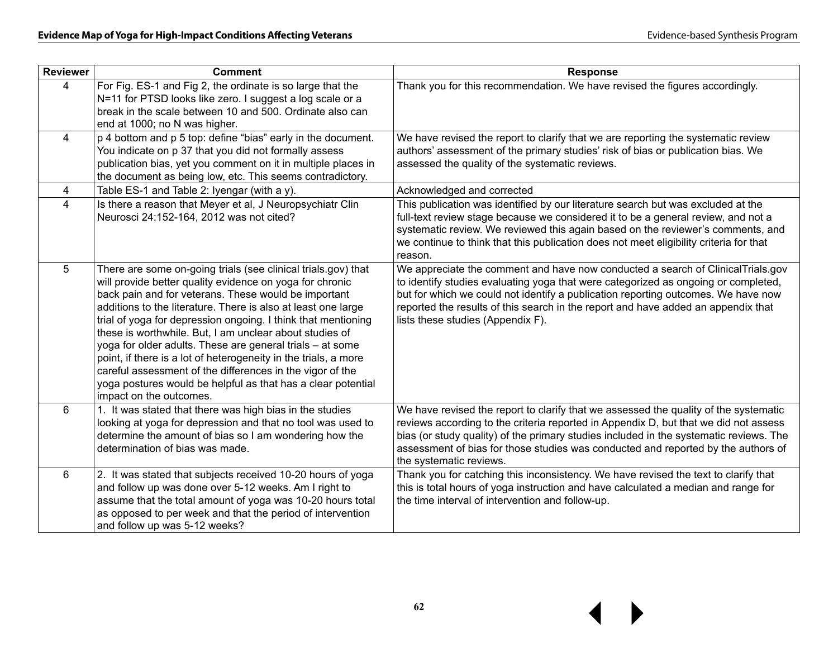| <b>Reviewer</b> | <b>Comment</b>                                                                                                                                                                                                                                                                                                                                                                                                                                                                                                                                                                                                                                                         | <b>Response</b>                                                                                                                                                                                                                                                                                                                                                                        |
|-----------------|------------------------------------------------------------------------------------------------------------------------------------------------------------------------------------------------------------------------------------------------------------------------------------------------------------------------------------------------------------------------------------------------------------------------------------------------------------------------------------------------------------------------------------------------------------------------------------------------------------------------------------------------------------------------|----------------------------------------------------------------------------------------------------------------------------------------------------------------------------------------------------------------------------------------------------------------------------------------------------------------------------------------------------------------------------------------|
| 4               | For Fig. ES-1 and Fig 2, the ordinate is so large that the<br>N=11 for PTSD looks like zero. I suggest a log scale or a<br>break in the scale between 10 and 500. Ordinate also can<br>end at 1000; no N was higher.                                                                                                                                                                                                                                                                                                                                                                                                                                                   | Thank you for this recommendation. We have revised the figures accordingly.                                                                                                                                                                                                                                                                                                            |
| $\overline{4}$  | p 4 bottom and p 5 top: define "bias" early in the document.<br>You indicate on p 37 that you did not formally assess<br>publication bias, yet you comment on it in multiple places in<br>the document as being low, etc. This seems contradictory.                                                                                                                                                                                                                                                                                                                                                                                                                    | We have revised the report to clarify that we are reporting the systematic review<br>authors' assessment of the primary studies' risk of bias or publication bias. We<br>assessed the quality of the systematic reviews.                                                                                                                                                               |
| 4               | Table ES-1 and Table 2: Iyengar (with a y).                                                                                                                                                                                                                                                                                                                                                                                                                                                                                                                                                                                                                            | Acknowledged and corrected                                                                                                                                                                                                                                                                                                                                                             |
| $\overline{4}$  | Is there a reason that Meyer et al, J Neuropsychiatr Clin<br>Neurosci 24:152-164, 2012 was not cited?                                                                                                                                                                                                                                                                                                                                                                                                                                                                                                                                                                  | This publication was identified by our literature search but was excluded at the<br>full-text review stage because we considered it to be a general review, and not a<br>systematic review. We reviewed this again based on the reviewer's comments, and<br>we continue to think that this publication does not meet eligibility criteria for that<br>reason.                          |
| 5               | There are some on-going trials (see clinical trials.gov) that<br>will provide better quality evidence on yoga for chronic<br>back pain and for veterans. These would be important<br>additions to the literature. There is also at least one large<br>trial of yoga for depression ongoing. I think that mentioning<br>these is worthwhile. But, I am unclear about studies of<br>yoga for older adults. These are general trials - at some<br>point, if there is a lot of heterogeneity in the trials, a more<br>careful assessment of the differences in the vigor of the<br>yoga postures would be helpful as that has a clear potential<br>impact on the outcomes. | We appreciate the comment and have now conducted a search of ClinicalTrials.gov<br>to identify studies evaluating yoga that were categorized as ongoing or completed,<br>but for which we could not identify a publication reporting outcomes. We have now<br>reported the results of this search in the report and have added an appendix that<br>lists these studies (Appendix F).   |
| 6               | 1. It was stated that there was high bias in the studies<br>looking at yoga for depression and that no tool was used to<br>determine the amount of bias so I am wondering how the<br>determination of bias was made.                                                                                                                                                                                                                                                                                                                                                                                                                                                   | We have revised the report to clarify that we assessed the quality of the systematic<br>reviews according to the criteria reported in Appendix D, but that we did not assess<br>bias (or study quality) of the primary studies included in the systematic reviews. The<br>assessment of bias for those studies was conducted and reported by the authors of<br>the systematic reviews. |
| 6               | 2. It was stated that subjects received 10-20 hours of yoga<br>and follow up was done over 5-12 weeks. Am I right to<br>assume that the total amount of yoga was 10-20 hours total<br>as opposed to per week and that the period of intervention<br>and follow up was 5-12 weeks?                                                                                                                                                                                                                                                                                                                                                                                      | Thank you for catching this inconsistency. We have revised the text to clarify that<br>this is total hours of yoga instruction and have calculated a median and range for<br>the time interval of intervention and follow-up.                                                                                                                                                          |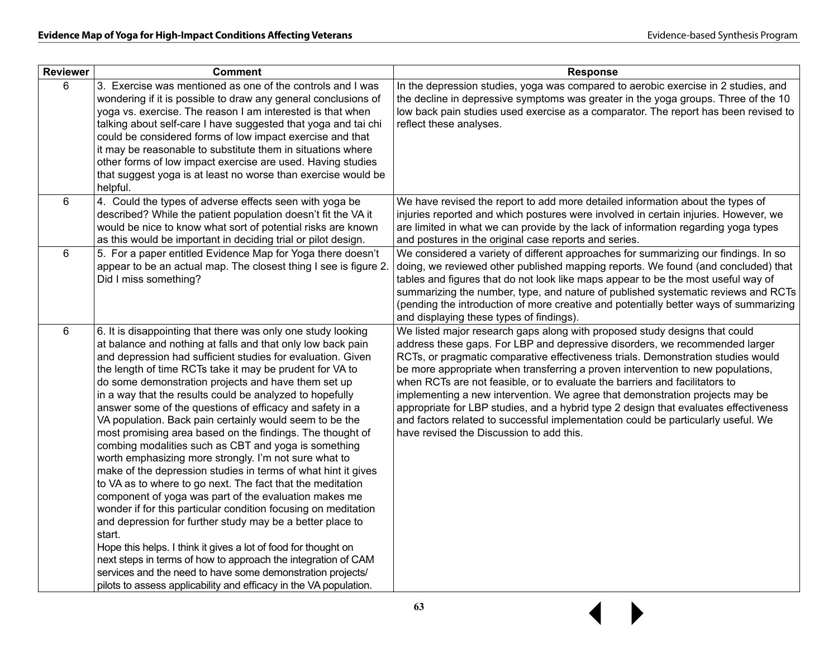| <b>Reviewer</b> | <b>Comment</b>                                                                                                                                                                                                                                                                                                                                                                                                                                                                                                                                                                                                                                                                                                                                                                                                                                                                                                                                                                                                                                                                                                                                                                                                                                                                        | <b>Response</b>                                                                                                                                                                                                                                                                                                                                                                                                                                                                                                                                                                                                                                                                                                          |
|-----------------|---------------------------------------------------------------------------------------------------------------------------------------------------------------------------------------------------------------------------------------------------------------------------------------------------------------------------------------------------------------------------------------------------------------------------------------------------------------------------------------------------------------------------------------------------------------------------------------------------------------------------------------------------------------------------------------------------------------------------------------------------------------------------------------------------------------------------------------------------------------------------------------------------------------------------------------------------------------------------------------------------------------------------------------------------------------------------------------------------------------------------------------------------------------------------------------------------------------------------------------------------------------------------------------|--------------------------------------------------------------------------------------------------------------------------------------------------------------------------------------------------------------------------------------------------------------------------------------------------------------------------------------------------------------------------------------------------------------------------------------------------------------------------------------------------------------------------------------------------------------------------------------------------------------------------------------------------------------------------------------------------------------------------|
| 6               | 3. Exercise was mentioned as one of the controls and I was<br>wondering if it is possible to draw any general conclusions of<br>yoga vs. exercise. The reason I am interested is that when<br>talking about self-care I have suggested that yoga and tai chi<br>could be considered forms of low impact exercise and that<br>it may be reasonable to substitute them in situations where<br>other forms of low impact exercise are used. Having studies<br>that suggest yoga is at least no worse than exercise would be<br>helpful.                                                                                                                                                                                                                                                                                                                                                                                                                                                                                                                                                                                                                                                                                                                                                  | In the depression studies, yoga was compared to aerobic exercise in 2 studies, and<br>the decline in depressive symptoms was greater in the yoga groups. Three of the 10<br>low back pain studies used exercise as a comparator. The report has been revised to<br>reflect these analyses.                                                                                                                                                                                                                                                                                                                                                                                                                               |
| 6               | 4. Could the types of adverse effects seen with yoga be<br>described? While the patient population doesn't fit the VA it<br>would be nice to know what sort of potential risks are known<br>as this would be important in deciding trial or pilot design.                                                                                                                                                                                                                                                                                                                                                                                                                                                                                                                                                                                                                                                                                                                                                                                                                                                                                                                                                                                                                             | We have revised the report to add more detailed information about the types of<br>injuries reported and which postures were involved in certain injuries. However, we<br>are limited in what we can provide by the lack of information regarding yoga types<br>and postures in the original case reports and series.                                                                                                                                                                                                                                                                                                                                                                                                     |
| 6               | 5. For a paper entitled Evidence Map for Yoga there doesn't<br>appear to be an actual map. The closest thing I see is figure 2.<br>Did I miss something?                                                                                                                                                                                                                                                                                                                                                                                                                                                                                                                                                                                                                                                                                                                                                                                                                                                                                                                                                                                                                                                                                                                              | We considered a variety of different approaches for summarizing our findings. In so<br>doing, we reviewed other published mapping reports. We found (and concluded) that<br>tables and figures that do not look like maps appear to be the most useful way of<br>summarizing the number, type, and nature of published systematic reviews and RCTs<br>(pending the introduction of more creative and potentially better ways of summarizing<br>and displaying these types of findings).                                                                                                                                                                                                                                  |
| 6               | 6. It is disappointing that there was only one study looking<br>at balance and nothing at falls and that only low back pain<br>and depression had sufficient studies for evaluation. Given<br>the length of time RCTs take it may be prudent for VA to<br>do some demonstration projects and have them set up<br>in a way that the results could be analyzed to hopefully<br>answer some of the questions of efficacy and safety in a<br>VA population. Back pain certainly would seem to be the<br>most promising area based on the findings. The thought of<br>combing modalities such as CBT and yoga is something<br>worth emphasizing more strongly. I'm not sure what to<br>make of the depression studies in terms of what hint it gives<br>to VA as to where to go next. The fact that the meditation<br>component of yoga was part of the evaluation makes me<br>wonder if for this particular condition focusing on meditation<br>and depression for further study may be a better place to<br>start.<br>Hope this helps. I think it gives a lot of food for thought on<br>next steps in terms of how to approach the integration of CAM<br>services and the need to have some demonstration projects/<br>pilots to assess applicability and efficacy in the VA population. | We listed major research gaps along with proposed study designs that could<br>address these gaps. For LBP and depressive disorders, we recommended larger<br>RCTs, or pragmatic comparative effectiveness trials. Demonstration studies would<br>be more appropriate when transferring a proven intervention to new populations,<br>when RCTs are not feasible, or to evaluate the barriers and facilitators to<br>implementing a new intervention. We agree that demonstration projects may be<br>appropriate for LBP studies, and a hybrid type 2 design that evaluates effectiveness<br>and factors related to successful implementation could be particularly useful. We<br>have revised the Discussion to add this. |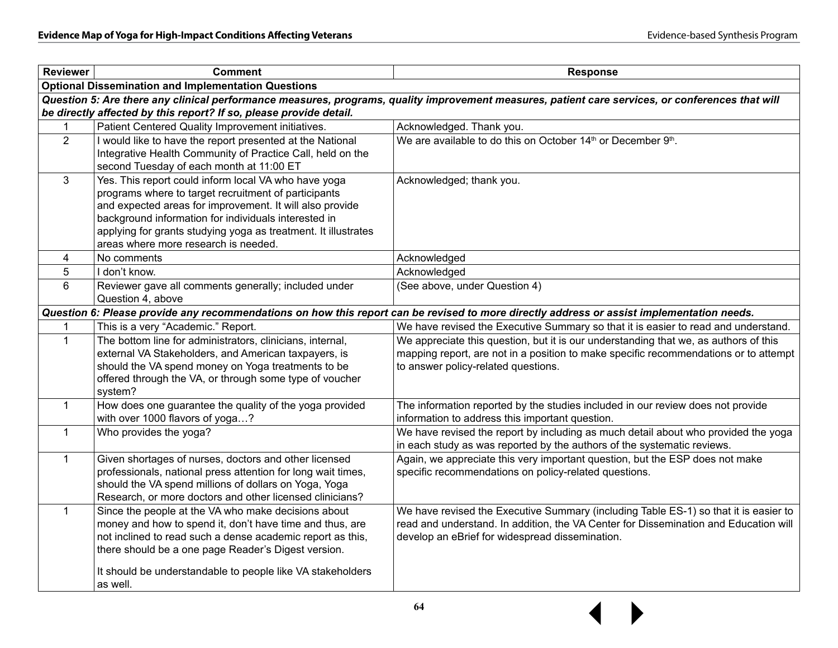$\blacktriangleright$ 

| <b>Reviewer</b>                  | <b>Comment</b>                                                                                                                                                                                                                                                                                                                             | <b>Response</b>                                                                                                                                                                                                                 |  |  |  |  |  |  |
|----------------------------------|--------------------------------------------------------------------------------------------------------------------------------------------------------------------------------------------------------------------------------------------------------------------------------------------------------------------------------------------|---------------------------------------------------------------------------------------------------------------------------------------------------------------------------------------------------------------------------------|--|--|--|--|--|--|
|                                  | <b>Optional Dissemination and Implementation Questions</b>                                                                                                                                                                                                                                                                                 |                                                                                                                                                                                                                                 |  |  |  |  |  |  |
|                                  |                                                                                                                                                                                                                                                                                                                                            | Question 5: Are there any clinical performance measures, programs, quality improvement measures, patient care services, or conferences that will                                                                                |  |  |  |  |  |  |
|                                  | be directly affected by this report? If so, please provide detail.                                                                                                                                                                                                                                                                         |                                                                                                                                                                                                                                 |  |  |  |  |  |  |
|                                  | Patient Centered Quality Improvement initiatives.                                                                                                                                                                                                                                                                                          | Acknowledged. Thank you.                                                                                                                                                                                                        |  |  |  |  |  |  |
| $\overline{2}$                   | I would like to have the report presented at the National<br>Integrative Health Community of Practice Call, held on the<br>second Tuesday of each month at 11:00 ET                                                                                                                                                                        | We are available to do this on October 14 <sup>th</sup> or December 9 <sup>th</sup> .                                                                                                                                           |  |  |  |  |  |  |
| $\mathbf{3}$                     | Yes. This report could inform local VA who have yoga<br>programs where to target recruitment of participants<br>and expected areas for improvement. It will also provide<br>background information for individuals interested in<br>applying for grants studying yoga as treatment. It illustrates<br>areas where more research is needed. | Acknowledged; thank you.                                                                                                                                                                                                        |  |  |  |  |  |  |
| 4<br>No comments<br>Acknowledged |                                                                                                                                                                                                                                                                                                                                            |                                                                                                                                                                                                                                 |  |  |  |  |  |  |
| 5                                | I don't know.                                                                                                                                                                                                                                                                                                                              | Acknowledged                                                                                                                                                                                                                    |  |  |  |  |  |  |
| 6                                | Reviewer gave all comments generally; included under<br>Question 4, above                                                                                                                                                                                                                                                                  | (See above, under Question 4)                                                                                                                                                                                                   |  |  |  |  |  |  |
|                                  |                                                                                                                                                                                                                                                                                                                                            | Question 6: Please provide any recommendations on how this report can be revised to more directly address or assist implementation needs.                                                                                       |  |  |  |  |  |  |
| 1                                | This is a very "Academic." Report.                                                                                                                                                                                                                                                                                                         | We have revised the Executive Summary so that it is easier to read and understand.                                                                                                                                              |  |  |  |  |  |  |
| $\mathbf{1}$                     | The bottom line for administrators, clinicians, internal,<br>external VA Stakeholders, and American taxpayers, is<br>should the VA spend money on Yoga treatments to be<br>offered through the VA, or through some type of voucher<br>system?                                                                                              | We appreciate this question, but it is our understanding that we, as authors of this<br>mapping report, are not in a position to make specific recommendations or to attempt<br>to answer policy-related questions.             |  |  |  |  |  |  |
| $\mathbf{1}$                     | How does one guarantee the quality of the yoga provided<br>with over 1000 flavors of yoga?                                                                                                                                                                                                                                                 | The information reported by the studies included in our review does not provide<br>information to address this important question.                                                                                              |  |  |  |  |  |  |
| $\mathbf{1}$                     | Who provides the yoga?                                                                                                                                                                                                                                                                                                                     | We have revised the report by including as much detail about who provided the yoga<br>in each study as was reported by the authors of the systematic reviews.                                                                   |  |  |  |  |  |  |
| $\mathbf{1}$                     | Given shortages of nurses, doctors and other licensed<br>professionals, national press attention for long wait times,<br>should the VA spend millions of dollars on Yoga, Yoga<br>Research, or more doctors and other licensed clinicians?                                                                                                 | Again, we appreciate this very important question, but the ESP does not make<br>specific recommendations on policy-related questions.                                                                                           |  |  |  |  |  |  |
| $\mathbf{1}$                     | Since the people at the VA who make decisions about<br>money and how to spend it, don't have time and thus, are<br>not inclined to read such a dense academic report as this,<br>there should be a one page Reader's Digest version.<br>It should be understandable to people like VA stakeholders<br>as well.                             | We have revised the Executive Summary (including Table ES-1) so that it is easier to<br>read and understand. In addition, the VA Center for Dissemination and Education will<br>develop an eBrief for widespread dissemination. |  |  |  |  |  |  |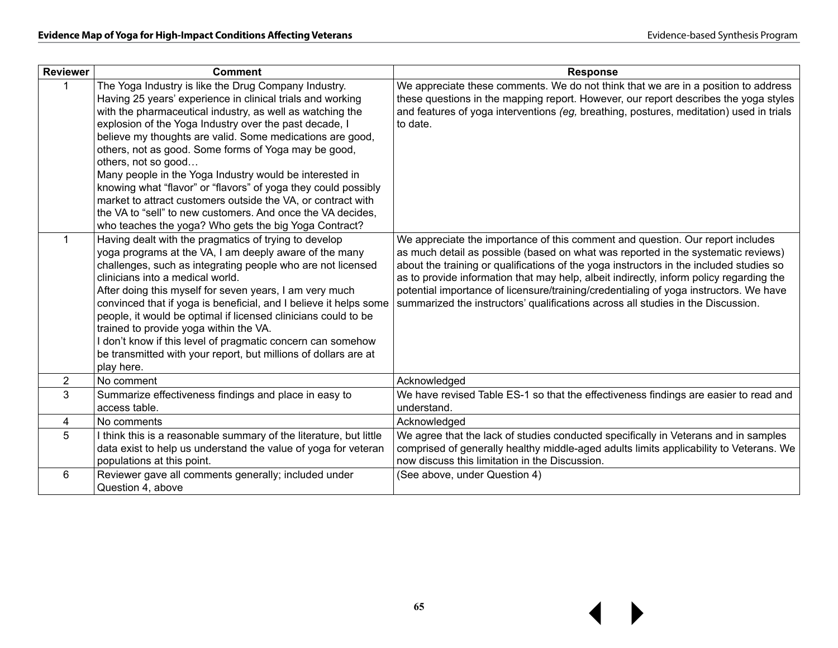| <b>Reviewer</b> | <b>Comment</b>                                                                                                                                                                                                                                                                                                                                                                                                                                                                                                                                                                                                                                                                                             | <b>Response</b>                                                                                                                                                                                                                                                                                                                                                                                                                                                                                                                        |
|-----------------|------------------------------------------------------------------------------------------------------------------------------------------------------------------------------------------------------------------------------------------------------------------------------------------------------------------------------------------------------------------------------------------------------------------------------------------------------------------------------------------------------------------------------------------------------------------------------------------------------------------------------------------------------------------------------------------------------------|----------------------------------------------------------------------------------------------------------------------------------------------------------------------------------------------------------------------------------------------------------------------------------------------------------------------------------------------------------------------------------------------------------------------------------------------------------------------------------------------------------------------------------------|
|                 | The Yoga Industry is like the Drug Company Industry.<br>Having 25 years' experience in clinical trials and working<br>with the pharmaceutical industry, as well as watching the<br>explosion of the Yoga Industry over the past decade, I<br>believe my thoughts are valid. Some medications are good,<br>others, not as good. Some forms of Yoga may be good,<br>others, not so good<br>Many people in the Yoga Industry would be interested in<br>knowing what "flavor" or "flavors" of yoga they could possibly<br>market to attract customers outside the VA, or contract with<br>the VA to "sell" to new customers. And once the VA decides,<br>who teaches the yoga? Who gets the big Yoga Contract? | We appreciate these comments. We do not think that we are in a position to address<br>these questions in the mapping report. However, our report describes the yoga styles<br>and features of yoga interventions (eg, breathing, postures, meditation) used in trials<br>to date.                                                                                                                                                                                                                                                      |
| $\mathbf{1}$    | Having dealt with the pragmatics of trying to develop<br>yoga programs at the VA, I am deeply aware of the many<br>challenges, such as integrating people who are not licensed<br>clinicians into a medical world.<br>After doing this myself for seven years, I am very much<br>convinced that if yoga is beneficial, and I believe it helps some<br>people, it would be optimal if licensed clinicians could to be<br>trained to provide yoga within the VA.<br>I don't know if this level of pragmatic concern can somehow<br>be transmitted with your report, but millions of dollars are at<br>play here.                                                                                             | We appreciate the importance of this comment and question. Our report includes<br>as much detail as possible (based on what was reported in the systematic reviews)<br>about the training or qualifications of the yoga instructors in the included studies so<br>as to provide information that may help, albeit indirectly, inform policy regarding the<br>potential importance of licensure/training/credentialing of yoga instructors. We have<br>summarized the instructors' qualifications across all studies in the Discussion. |
| $\overline{2}$  | No comment                                                                                                                                                                                                                                                                                                                                                                                                                                                                                                                                                                                                                                                                                                 | Acknowledged                                                                                                                                                                                                                                                                                                                                                                                                                                                                                                                           |
| 3               | Summarize effectiveness findings and place in easy to<br>access table.                                                                                                                                                                                                                                                                                                                                                                                                                                                                                                                                                                                                                                     | We have revised Table ES-1 so that the effectiveness findings are easier to read and<br>understand.                                                                                                                                                                                                                                                                                                                                                                                                                                    |
| 4               | No comments                                                                                                                                                                                                                                                                                                                                                                                                                                                                                                                                                                                                                                                                                                | Acknowledged                                                                                                                                                                                                                                                                                                                                                                                                                                                                                                                           |
| 5               | I think this is a reasonable summary of the literature, but little<br>data exist to help us understand the value of yoga for veteran<br>populations at this point.                                                                                                                                                                                                                                                                                                                                                                                                                                                                                                                                         | We agree that the lack of studies conducted specifically in Veterans and in samples<br>comprised of generally healthy middle-aged adults limits applicability to Veterans. We<br>now discuss this limitation in the Discussion.                                                                                                                                                                                                                                                                                                        |
| 6               | Reviewer gave all comments generally; included under<br>Question 4, above                                                                                                                                                                                                                                                                                                                                                                                                                                                                                                                                                                                                                                  | (See above, under Question 4)                                                                                                                                                                                                                                                                                                                                                                                                                                                                                                          |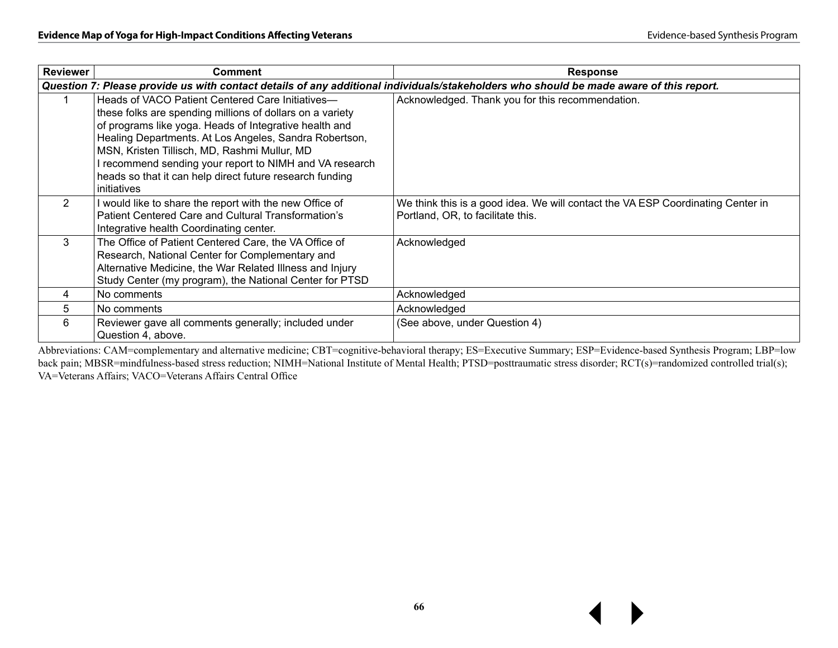| <b>Reviewer</b> | <b>Comment</b>                                                                                                                                                                                                                                                                                                                                                                                                          | <b>Response</b>                                                                                                                        |  |  |
|-----------------|-------------------------------------------------------------------------------------------------------------------------------------------------------------------------------------------------------------------------------------------------------------------------------------------------------------------------------------------------------------------------------------------------------------------------|----------------------------------------------------------------------------------------------------------------------------------------|--|--|
|                 |                                                                                                                                                                                                                                                                                                                                                                                                                         | Question 7: Please provide us with contact details of any additional individuals/stakeholders who should be made aware of this report. |  |  |
|                 | Heads of VACO Patient Centered Care Initiatives-<br>these folks are spending millions of dollars on a variety<br>of programs like yoga. Heads of Integrative health and<br>Healing Departments. At Los Angeles, Sandra Robertson,<br>MSN, Kristen Tillisch, MD, Rashmi Mullur, MD<br>I recommend sending your report to NIMH and VA research<br>heads so that it can help direct future research funding<br>initiatives | Acknowledged. Thank you for this recommendation.                                                                                       |  |  |
| 2               | I would like to share the report with the new Office of<br>Patient Centered Care and Cultural Transformation's<br>Integrative health Coordinating center.                                                                                                                                                                                                                                                               | We think this is a good idea. We will contact the VA ESP Coordinating Center in<br>Portland, OR, to facilitate this.                   |  |  |
| $\mathbf{3}$    | The Office of Patient Centered Care, the VA Office of<br>Research, National Center for Complementary and<br>Alternative Medicine, the War Related Illness and Injury<br>Study Center (my program), the National Center for PTSD                                                                                                                                                                                         | Acknowledged                                                                                                                           |  |  |
| 4               | No comments                                                                                                                                                                                                                                                                                                                                                                                                             | Acknowledged                                                                                                                           |  |  |
| 5               | No comments                                                                                                                                                                                                                                                                                                                                                                                                             | Acknowledged                                                                                                                           |  |  |
| 6               | Reviewer gave all comments generally; included under<br>Question 4, above.                                                                                                                                                                                                                                                                                                                                              | (See above, under Question 4)                                                                                                          |  |  |

Abbreviations: CAM=complementary and alternative medicine; CBT=cognitive-behavioral therapy; ES=Executive Summary; ESP=Evidence-based Synthesis Program; LBP=low back pain; MBSR=mindfulness-based stress reduction; NIMH=National Institute of Mental Health; PTSD=posttraumatic stress disorder; RCT(s)=randomized controlled trial(s); VA=Veterans Affairs; VACO=Veterans Affairs Central Office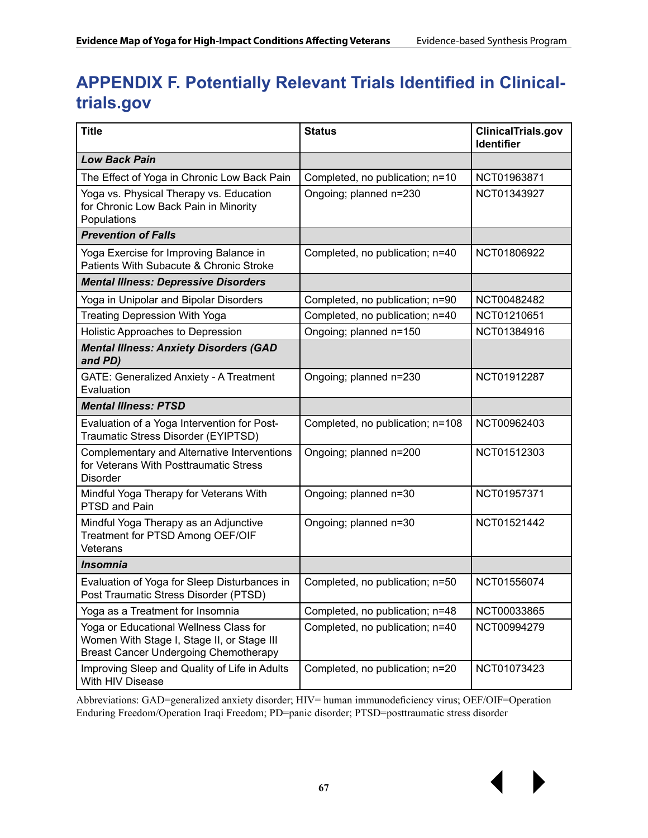# **APPENDIX F. Potentially Relevant Trials Identified in Clinicaltrials.gov**

| <b>Title</b>                                                                                                                         | <b>Status</b>                    | <b>ClinicalTrials.gov</b><br><b>Identifier</b> |  |
|--------------------------------------------------------------------------------------------------------------------------------------|----------------------------------|------------------------------------------------|--|
| <b>Low Back Pain</b>                                                                                                                 |                                  |                                                |  |
| The Effect of Yoga in Chronic Low Back Pain                                                                                          | Completed, no publication; n=10  | NCT01963871                                    |  |
| Yoga vs. Physical Therapy vs. Education<br>for Chronic Low Back Pain in Minority<br>Populations                                      | Ongoing; planned n=230           | NCT01343927                                    |  |
| <b>Prevention of Falls</b>                                                                                                           |                                  |                                                |  |
| Yoga Exercise for Improving Balance in<br>Patients With Subacute & Chronic Stroke                                                    | Completed, no publication; n=40  | NCT01806922                                    |  |
| <b>Mental Illness: Depressive Disorders</b>                                                                                          |                                  |                                                |  |
| Yoga in Unipolar and Bipolar Disorders                                                                                               | Completed, no publication; n=90  | NCT00482482                                    |  |
| <b>Treating Depression With Yoga</b>                                                                                                 | Completed, no publication; n=40  | NCT01210651                                    |  |
| Holistic Approaches to Depression                                                                                                    | Ongoing; planned n=150           | NCT01384916                                    |  |
| <b>Mental Illness: Anxiety Disorders (GAD</b><br>and PD)                                                                             |                                  |                                                |  |
| GATE: Generalized Anxiety - A Treatment<br>Evaluation                                                                                | Ongoing; planned n=230           | NCT01912287                                    |  |
| <b>Mental Illness: PTSD</b>                                                                                                          |                                  |                                                |  |
| Evaluation of a Yoga Intervention for Post-<br>Traumatic Stress Disorder (EYIPTSD)                                                   | Completed, no publication; n=108 | NCT00962403                                    |  |
| Complementary and Alternative Interventions<br>for Veterans With Posttraumatic Stress<br><b>Disorder</b>                             | Ongoing; planned n=200           | NCT01512303                                    |  |
| Mindful Yoga Therapy for Veterans With<br>PTSD and Pain                                                                              | Ongoing; planned n=30            | NCT01957371                                    |  |
| Mindful Yoga Therapy as an Adjunctive<br>Treatment for PTSD Among OEF/OIF<br>Veterans                                                | Ongoing; planned n=30            | NCT01521442                                    |  |
| <b>Insomnia</b>                                                                                                                      |                                  |                                                |  |
| Evaluation of Yoga for Sleep Disturbances in<br>Post Traumatic Stress Disorder (PTSD)                                                | Completed, no publication; n=50  | NCT01556074                                    |  |
| Yoga as a Treatment for Insomnia                                                                                                     | Completed, no publication; n=48  | NCT00033865                                    |  |
| Yoga or Educational Wellness Class for<br>Women With Stage I, Stage II, or Stage III<br><b>Breast Cancer Undergoing Chemotherapy</b> | Completed, no publication; n=40  | NCT00994279                                    |  |
| Improving Sleep and Quality of Life in Adults<br>With HIV Disease                                                                    | Completed, no publication; n=20  | NCT01073423                                    |  |

Abbreviations: GAD=generalized anxiety disorder; HIV= human immunodeficiency virus; OEF/OIF=Operation Enduring Freedom/Operation Iraqi Freedom; PD=panic disorder; PTSD=posttraumatic stress disorder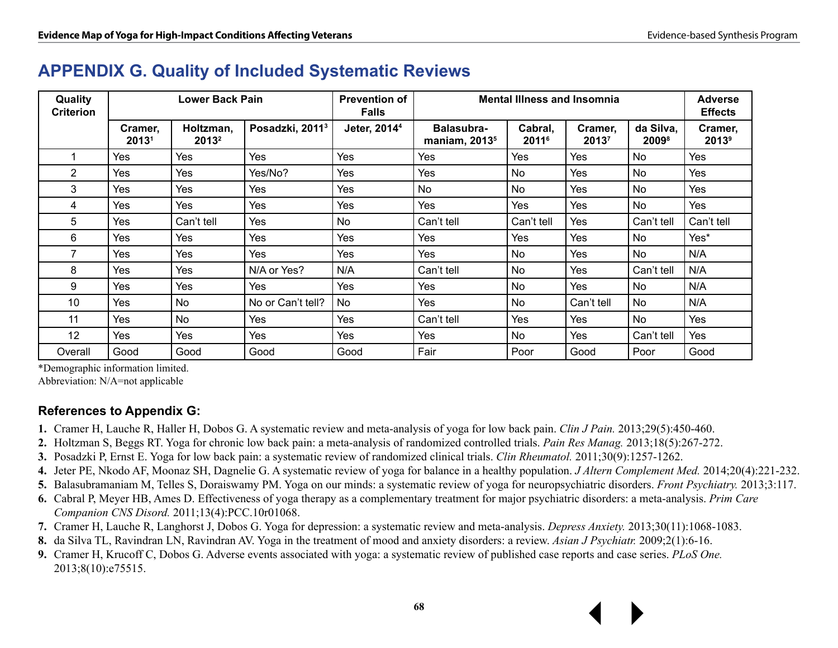### **APPENDIX G. Quality of Included Systematic Reviews**

| Quality<br><b>Criterion</b> | Lower Back Pain  |                                |                             | <b>Prevention of</b><br><b>Falls</b> | <b>Mental Illness and Insomnia</b> |                              |                 |                                | <b>Adverse</b><br><b>Effects</b> |
|-----------------------------|------------------|--------------------------------|-----------------------------|--------------------------------------|------------------------------------|------------------------------|-----------------|--------------------------------|----------------------------------|
|                             | Cramer,<br>20131 | Holtzman,<br>2013 <sup>2</sup> | Posadzki, 2011 <sup>3</sup> | Jeter, 2014 <sup>4</sup>             | Balasubra-<br>maniam, $20135$      | Cabral,<br>2011 <sup>6</sup> | Cramer,<br>2013 | da Silva,<br>2009 <sup>8</sup> | Cramer,<br>2013 <sup>9</sup>     |
|                             | Yes              | Yes                            | Yes                         | Yes                                  | Yes                                | <b>Yes</b>                   | Yes             | No                             | Yes                              |
| $\overline{2}$              | Yes              | Yes                            | Yes/No?                     | Yes                                  | Yes                                | No                           | Yes             | No                             | Yes                              |
| 3                           | Yes              | Yes                            | Yes                         | Yes                                  | No.                                | No                           | Yes             | No                             | Yes                              |
| 4                           | Yes              | Yes                            | Yes                         | Yes                                  | Yes                                | Yes                          | Yes             | <b>No</b>                      | Yes                              |
| 5                           | Yes              | Can't tell                     | Yes                         | No                                   | Can't tell                         | Can't tell                   | Yes             | Can't tell                     | Can't tell                       |
| 6                           | Yes              | Yes                            | Yes                         | Yes                                  | Yes                                | Yes                          | Yes             | <b>No</b>                      | Yes*                             |
| 7                           | Yes              | Yes                            | Yes                         | Yes                                  | Yes                                | No                           | Yes             | No                             | N/A                              |
| 8                           | Yes              | Yes                            | N/A or Yes?                 | N/A                                  | Can't tell                         | No                           | Yes             | Can't tell                     | N/A                              |
| 9                           | Yes              | Yes                            | Yes                         | Yes                                  | Yes                                | No                           | Yes             | No                             | N/A                              |
| 10                          | Yes              | <b>No</b>                      | No or Can't tell?           | No                                   | Yes                                | No                           | Can't tell      | No                             | N/A                              |
| 11                          | Yes              | <b>No</b>                      | Yes                         | Yes                                  | Can't tell                         | Yes                          | Yes             | No                             | Yes                              |
| 12                          | Yes              | Yes                            | Yes                         | Yes                                  | Yes                                | No                           | Yes             | Can't tell                     | Yes                              |
| Overall                     | Good             | Good                           | Good                        | Good                                 | Fair                               | Poor                         | Good            | Poor                           | Good                             |

\*Demographic information limited.

Abbreviation: N/A=not applicable

#### **References to Appendix G:**

- **1.** Cramer H, Lauche R, Haller H, Dobos G. A systematic review and meta-analysis of yoga for low back pain. *Clin J Pain.* 2013;29(5):450-460.
- **2.** Holtzman S, Beggs RT. Yoga for chronic low back pain: a meta-analysis of randomized controlled trials. *Pain Res Manag.* 2013;18(5):267-272.
- **3.** Posadzki P, Ernst E. Yoga for low back pain: a systematic review of randomized clinical trials. *Clin Rheumatol.* 2011;30(9):1257-1262.
- **4.** Jeter PE, Nkodo AF, Moonaz SH, Dagnelie G. A systematic review of yoga for balance in a healthy population. *J Altern Complement Med.* 2014;20(4):221-232.
- **5.** Balasubramaniam M, Telles S, Doraiswamy PM. Yoga on our minds: a systematic review of yoga for neuropsychiatric disorders. *Front Psychiatry.* 2013;3:117.
- **6.** Cabral P, Meyer HB, Ames D. Effectiveness of yoga therapy as a complementary treatment for major psychiatric disorders: a meta-analysis. *Prim Care Companion CNS Disord.* 2011;13(4):PCC.10r01068.
- **7.** Cramer H, Lauche R, Langhorst J, Dobos G. Yoga for depression: a systematic review and meta-analysis. *Depress Anxiety.* 2013;30(11):1068-1083.
- **8.** da Silva TL, Ravindran LN, Ravindran AV. Yoga in the treatment of mood and anxiety disorders: a review. *Asian J Psychiatr.* 2009;2(1):6-16.
- **9.** Cramer H, Krucoff C, Dobos G. Adverse events associated with yoga: a systematic review of published case reports and case series. *PLoS One.* 2013;8(10):e75515.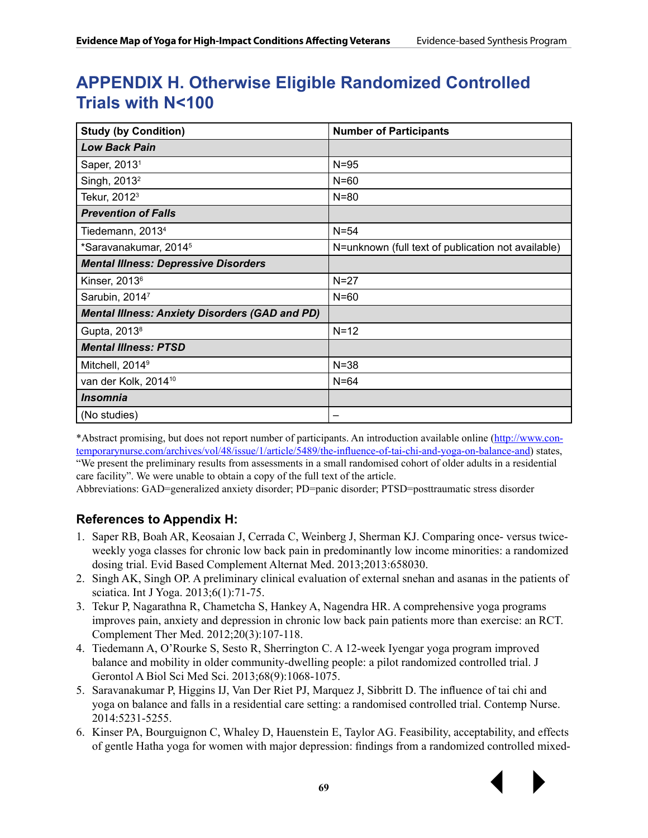## **APPENDIX H. Otherwise Eligible Randomized Controlled Trials with N<100**

| <b>Study (by Condition)</b>                           | <b>Number of Participants</b>                      |  |  |  |  |
|-------------------------------------------------------|----------------------------------------------------|--|--|--|--|
| <b>Low Back Pain</b>                                  |                                                    |  |  |  |  |
| Saper, 2013 <sup>1</sup>                              | $N = 95$                                           |  |  |  |  |
| Singh, 2013 <sup>2</sup>                              | $N=60$                                             |  |  |  |  |
| Tekur, 2012 <sup>3</sup>                              | $N = 80$                                           |  |  |  |  |
| <b>Prevention of Falls</b>                            |                                                    |  |  |  |  |
| Tiedemann, 2013 <sup>4</sup>                          | $N=54$                                             |  |  |  |  |
| *Saravanakumar, 2014 <sup>5</sup>                     | N=unknown (full text of publication not available) |  |  |  |  |
| <b>Mental Illness: Depressive Disorders</b>           |                                                    |  |  |  |  |
| Kinser, 2013 <sup>6</sup>                             | $N=27$                                             |  |  |  |  |
| Sarubin, 20147                                        | $N=60$                                             |  |  |  |  |
| <b>Mental Illness: Anxiety Disorders (GAD and PD)</b> |                                                    |  |  |  |  |
| Gupta, 2013 <sup>8</sup>                              | $N=12$                                             |  |  |  |  |
| <b>Mental Illness: PTSD</b>                           |                                                    |  |  |  |  |
| Mitchell, 2014 <sup>9</sup>                           | $N = 38$                                           |  |  |  |  |
| van der Kolk, 2014 <sup>10</sup>                      | $N=64$                                             |  |  |  |  |
| <i><b>Insomnia</b></i>                                |                                                    |  |  |  |  |
| (No studies)                                          |                                                    |  |  |  |  |

\*Abstract promising, but does not report number of participants. An introduction available online [\(http://www.con](http://www.contemporarynurse.com/archives/vol/48/issue/1/article/5489/the-influence-of-tai-chi-and-yoga-on-balance-and)[temporarynurse.com/archives/vol/48/issue/1/article/5489/the-influence-of-tai-chi-and-yoga-on-balance-and](http://www.contemporarynurse.com/archives/vol/48/issue/1/article/5489/the-influence-of-tai-chi-and-yoga-on-balance-and)) states, "We present the preliminary results from assessments in a small randomised cohort of older adults in a residential care facility". We were unable to obtain a copy of the full text of the article.

Abbreviations: GAD=generalized anxiety disorder; PD=panic disorder; PTSD=posttraumatic stress disorder

#### **References to Appendix H:**

- 1. Saper RB, Boah AR, Keosaian J, Cerrada C, Weinberg J, Sherman KJ. Comparing once- versus twiceweekly yoga classes for chronic low back pain in predominantly low income minorities: a randomized dosing trial. Evid Based Complement Alternat Med. 2013;2013:658030.
- 2. Singh AK, Singh OP. A preliminary clinical evaluation of external snehan and asanas in the patients of sciatica. Int J Yoga. 2013;6(1):71-75.
- 3. Tekur P, Nagarathna R, Chametcha S, Hankey A, Nagendra HR. A comprehensive yoga programs improves pain, anxiety and depression in chronic low back pain patients more than exercise: an RCT. Complement Ther Med. 2012;20(3):107-118.
- 4. Tiedemann A, O'Rourke S, Sesto R, Sherrington C. A 12-week Iyengar yoga program improved balance and mobility in older community-dwelling people: a pilot randomized controlled trial. J Gerontol A Biol Sci Med Sci. 2013;68(9):1068-1075.
- 5. Saravanakumar P, Higgins IJ, Van Der Riet PJ, Marquez J, Sibbritt D. The influence of tai chi and yoga on balance and falls in a residential care setting: a randomised controlled trial. Contemp Nurse. 2014:5231-5255.
- 6. Kinser PA, Bourguignon C, Whaley D, Hauenstein E, Taylor AG. Feasibility, acceptability, and effects of gentle Hatha yoga for women with major depression: findings from a randomized controlled mixed-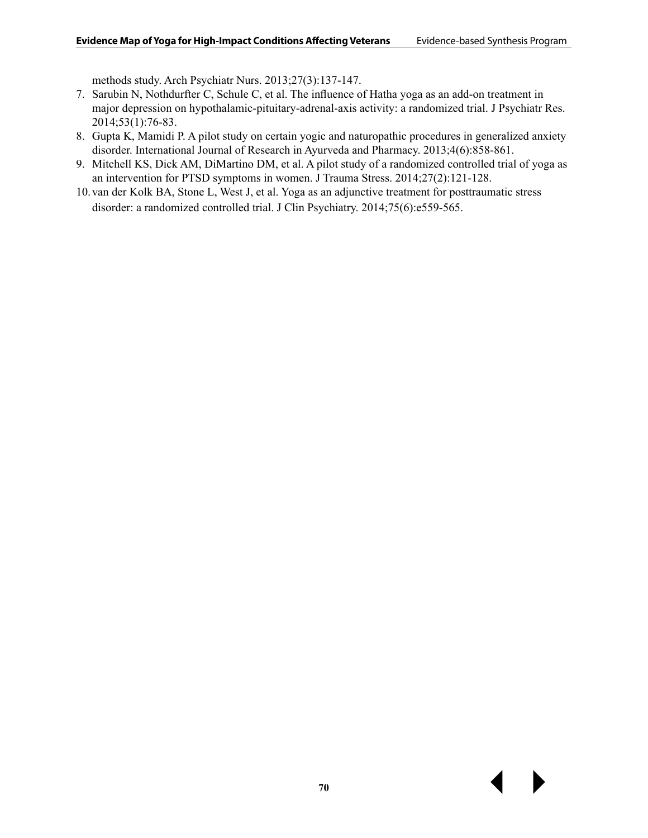methods study. Arch Psychiatr Nurs. 2013;27(3):137-147.

- 7. Sarubin N, Nothdurfter C, Schule C, et al. The influence of Hatha yoga as an add-on treatment in major depression on hypothalamic-pituitary-adrenal-axis activity: a randomized trial. J Psychiatr Res. 2014;53(1):76-83.
- 8. Gupta K, Mamidi P. A pilot study on certain yogic and naturopathic procedures in generalized anxiety disorder. International Journal of Research in Ayurveda and Pharmacy. 2013;4(6):858-861.
- 9. Mitchell KS, Dick AM, DiMartino DM, et al. A pilot study of a randomized controlled trial of yoga as an intervention for PTSD symptoms in women. J Trauma Stress. 2014;27(2):121-128.
- 10.van der Kolk BA, Stone L, West J, et al. Yoga as an adjunctive treatment for posttraumatic stress disorder: a randomized controlled trial. J Clin Psychiatry. 2014;75(6):e559-565.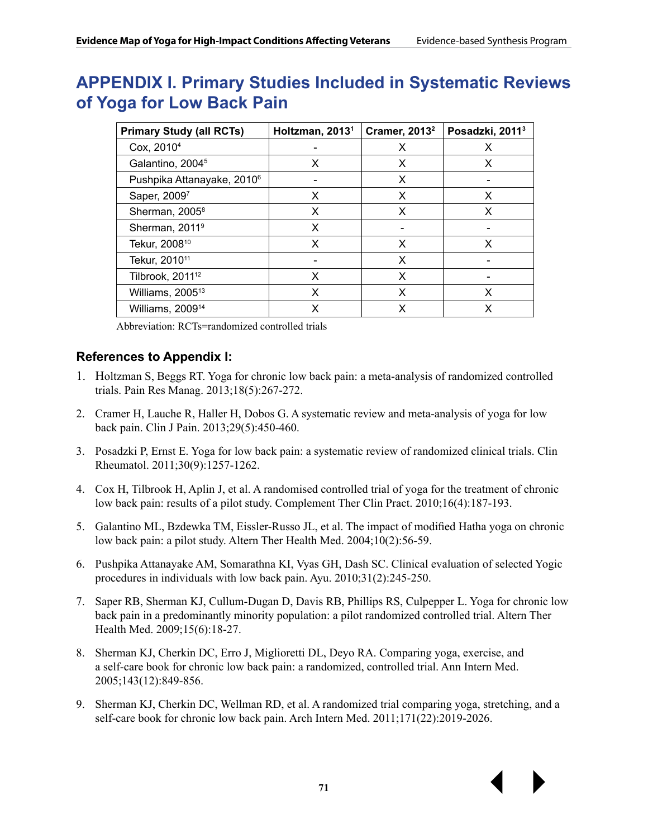### **APPENDIX I. Primary Studies Included in Systematic Reviews of Yoga for Low Back Pain**

| <b>Primary Study (all RCTs)</b>        | Holtzman, 2013 <sup>1</sup> | <b>Cramer, 2013</b> <sup>2</sup> | Posadzki, 2011 <sup>3</sup> |
|----------------------------------------|-----------------------------|----------------------------------|-----------------------------|
| Cox, 2010 <sup>4</sup>                 |                             | X                                | X                           |
| Galantino, 2004 <sup>5</sup>           | X                           | X                                | X                           |
| Pushpika Attanayake, 2010 <sup>6</sup> |                             | X                                |                             |
| Saper, 20097                           | X                           | X                                | X                           |
| Sherman, 2005 <sup>8</sup>             | X                           | X                                | X                           |
| Sherman, 2011 <sup>9</sup>             | X                           |                                  |                             |
| Tekur, 2008 <sup>10</sup>              | X                           | X                                | x                           |
| Tekur, 2010 <sup>11</sup>              |                             | X                                |                             |
| Tilbrook, 2011 <sup>12</sup>           | X                           | X                                |                             |
| Williams, 2005 <sup>13</sup>           | X                           | X                                | X                           |
| Williams, 2009 <sup>14</sup>           | x                           | x                                | x                           |

Abbreviation: RCTs=randomized controlled trials

#### **References to Appendix I:**

- 1. Holtzman S, Beggs RT. Yoga for chronic low back pain: a meta-analysis of randomized controlled trials. Pain Res Manag. 2013;18(5):267-272.
- 2. Cramer H, Lauche R, Haller H, Dobos G. A systematic review and meta-analysis of yoga for low back pain. Clin J Pain. 2013;29(5):450-460.
- 3. Posadzki P, Ernst E. Yoga for low back pain: a systematic review of randomized clinical trials. Clin Rheumatol. 2011;30(9):1257-1262.
- 4. Cox H, Tilbrook H, Aplin J, et al. A randomised controlled trial of yoga for the treatment of chronic low back pain: results of a pilot study. Complement Ther Clin Pract. 2010;16(4):187-193.
- 5. Galantino ML, Bzdewka TM, Eissler-Russo JL, et al. The impact of modified Hatha yoga on chronic low back pain: a pilot study. Altern Ther Health Med. 2004;10(2):56-59.
- 6. Pushpika Attanayake AM, Somarathna KI, Vyas GH, Dash SC. Clinical evaluation of selected Yogic procedures in individuals with low back pain. Ayu. 2010;31(2):245-250.
- 7. Saper RB, Sherman KJ, Cullum-Dugan D, Davis RB, Phillips RS, Culpepper L. Yoga for chronic low back pain in a predominantly minority population: a pilot randomized controlled trial. Altern Ther Health Med. 2009;15(6):18-27.
- 8. Sherman KJ, Cherkin DC, Erro J, Miglioretti DL, Deyo RA. Comparing yoga, exercise, and a self-care book for chronic low back pain: a randomized, controlled trial. Ann Intern Med. 2005;143(12):849-856.
- 9. Sherman KJ, Cherkin DC, Wellman RD, et al. A randomized trial comparing yoga, stretching, and a self-care book for chronic low back pain. Arch Intern Med. 2011;171(22):2019-2026.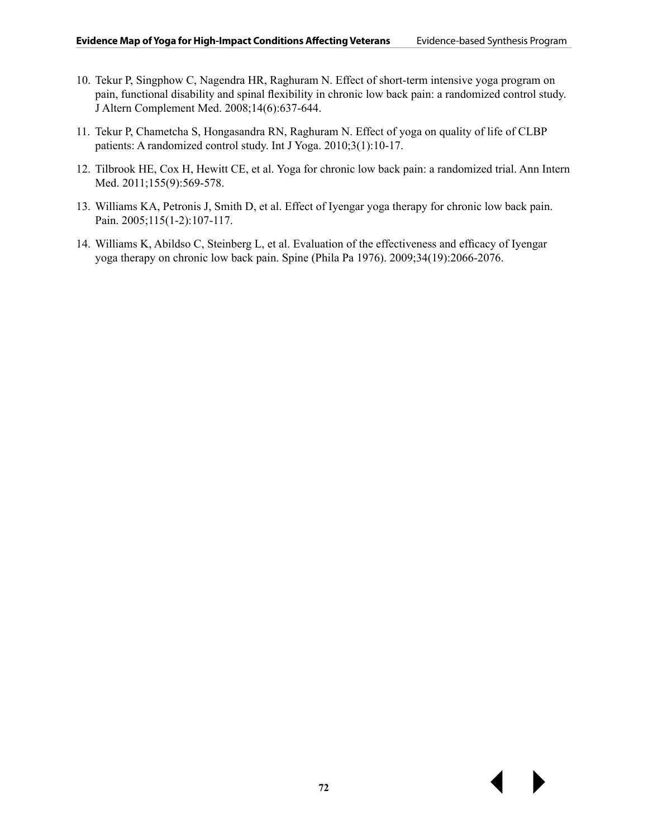- 10. Tekur P, Singphow C, Nagendra HR, Raghuram N. Effect of short-term intensive yoga program on pain, functional disability and spinal flexibility in chronic low back pain: a randomized control study. J Altern Complement Med. 2008;14(6):637-644.
- 11. Tekur P, Chametcha S, Hongasandra RN, Raghuram N. Effect of yoga on quality of life of CLBP patients: A randomized control study. Int J Yoga. 2010;3(1):10-17.
- 12. Tilbrook HE, Cox H, Hewitt CE, et al. Yoga for chronic low back pain: a randomized trial. Ann Intern Med. 2011;155(9):569-578.
- 13. Williams KA, Petronis J, Smith D, et al. Effect of Iyengar yoga therapy for chronic low back pain. Pain. 2005;115(1-2):107-117.
- 14. Williams K, Abildso C, Steinberg L, et al. Evaluation of the effectiveness and efficacy of Iyengar yoga therapy on chronic low back pain. Spine (Phila Pa 1976). 2009;34(19):2066-2076.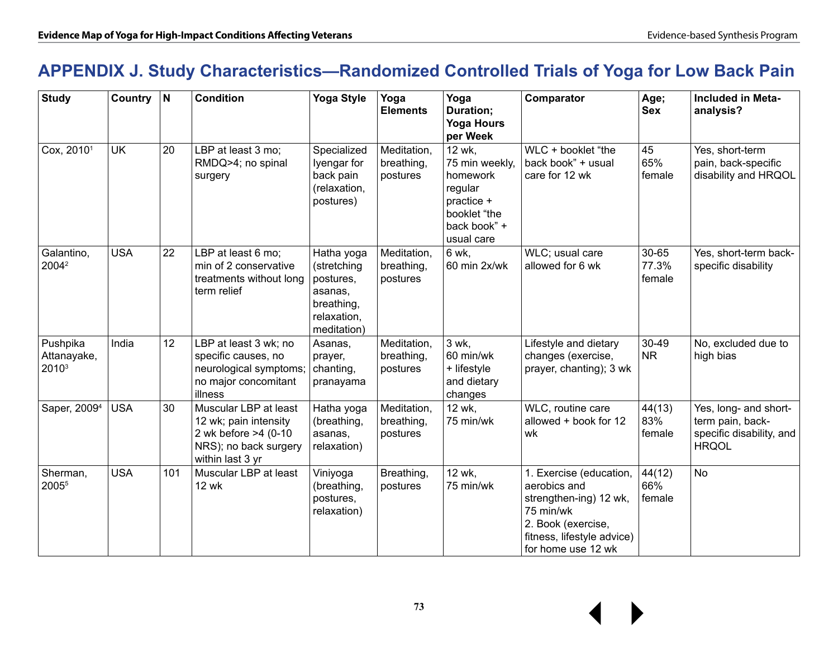# **APPENDIX J. Study Characteristics—Randomized Controlled Trials of Yoga for Low Back Pain**

| <b>Study</b>                                 | Country N  |     | <b>Condition</b>                                                                                                    | <b>Yoga Style</b>                                                                             | Yoga<br><b>Elements</b>               | Yoga<br>Duration;<br><b>Yoga Hours</b><br>per Week                                                          | Comparator                                                                                                                                               | Age;<br><b>Sex</b>       | <b>Included in Meta-</b><br>analysis?                                                 |
|----------------------------------------------|------------|-----|---------------------------------------------------------------------------------------------------------------------|-----------------------------------------------------------------------------------------------|---------------------------------------|-------------------------------------------------------------------------------------------------------------|----------------------------------------------------------------------------------------------------------------------------------------------------------|--------------------------|---------------------------------------------------------------------------------------|
| Cox, 2010 <sup>1</sup>                       | <b>UK</b>  | 20  | LBP at least 3 mo;<br>RMDQ>4; no spinal<br>surgery                                                                  | Specialized<br>Iyengar for<br>back pain<br>(relaxation,<br>postures)                          | Meditation,<br>breathing,<br>postures | 12 wk,<br>75 min weekly,<br>homework<br>regular<br>practice +<br>booklet "the<br>back book" +<br>usual care | WLC + booklet "the<br>back book" + usual<br>care for 12 wk                                                                                               | 45<br>65%<br>female      | Yes, short-term<br>pain, back-specific<br>disability and HRQOL                        |
| Galantino,<br>2004 <sup>2</sup>              | <b>USA</b> | 22  | LBP at least 6 mo;<br>min of 2 conservative<br>treatments without long<br>term relief                               | Hatha yoga<br>(stretching<br>postures,<br>asanas,<br>breathing,<br>relaxation,<br>meditation) | Meditation,<br>breathing,<br>postures | 6 wk,<br>60 min 2x/wk                                                                                       | WLC; usual care<br>allowed for 6 wk                                                                                                                      | 30-65<br>77.3%<br>female | Yes, short-term back-<br>specific disability                                          |
| Pushpika<br>Attanayake,<br>2010 <sup>3</sup> | India      | 12  | LBP at least 3 wk; no<br>specific causes, no<br>neurological symptoms;<br>no major concomitant<br>illness           | Asanas,<br>prayer,<br>chanting,<br>pranayama                                                  | Meditation,<br>breathing,<br>postures | 3 wk,<br>60 min/wk<br>+ lifestyle<br>and dietary<br>changes                                                 | Lifestyle and dietary<br>changes (exercise,<br>prayer, chanting); 3 wk                                                                                   | 30-49<br><b>NR</b>       | No, excluded due to<br>high bias                                                      |
| Saper, 2009 <sup>4</sup>                     | <b>USA</b> | 30  | Muscular LBP at least<br>12 wk; pain intensity<br>2 wk before >4 (0-10<br>NRS); no back surgery<br>within last 3 yr | Hatha yoga<br>(breathing,<br>asanas,<br>relaxation)                                           | Meditation,<br>breathing,<br>postures | 12 wk,<br>75 min/wk                                                                                         | WLC, routine care<br>allowed + book for 12<br>wk                                                                                                         | 44(13)<br>83%<br>female  | Yes, long- and short-<br>term pain, back-<br>specific disability, and<br><b>HRQOL</b> |
| Sherman,<br>2005 <sup>5</sup>                | <b>USA</b> | 101 | Muscular LBP at least<br><b>12 wk</b>                                                                               | Viniyoga<br>(breathing,<br>postures,<br>relaxation)                                           | Breathing,<br>postures                | 12 wk.<br>75 min/wk                                                                                         | 1. Exercise (education,<br>aerobics and<br>strengthen-ing) 12 wk,<br>75 min/wk<br>2. Book (exercise,<br>fitness, lifestyle advice)<br>for home use 12 wk | 44(12)<br>66%<br>female  | <b>No</b>                                                                             |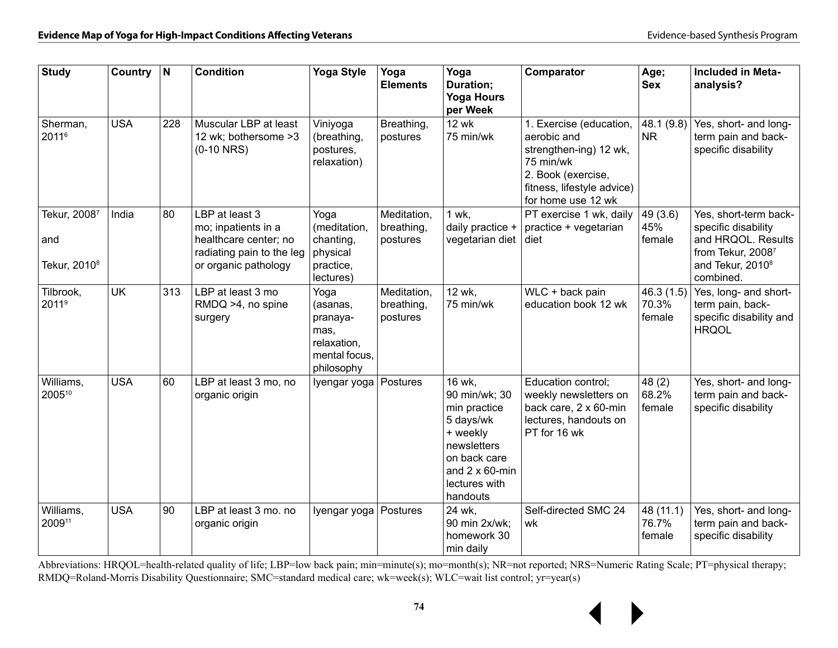| <b>Study</b>                                    | Country $ N $ |     | <b>Condition</b>                                                                                                    | <b>Yoga Style</b>                                                                  | Yoga<br><b>Elements</b>               | Yoga<br>Duration;<br><b>Yoga Hours</b><br>per Week                                                                                                     | Comparator                                                                                                                                              | Age;<br><b>Sex</b>           | <b>Included in Meta-</b><br>analysis?                                                                                                |
|-------------------------------------------------|---------------|-----|---------------------------------------------------------------------------------------------------------------------|------------------------------------------------------------------------------------|---------------------------------------|--------------------------------------------------------------------------------------------------------------------------------------------------------|---------------------------------------------------------------------------------------------------------------------------------------------------------|------------------------------|--------------------------------------------------------------------------------------------------------------------------------------|
| Sherman,<br>20116                               | <b>USA</b>    | 228 | Muscular LBP at least<br>12 wk; bothersome >3<br>$(0-10$ NRS)                                                       | Viniyoga<br>(breathing,<br>postures,<br>relaxation)                                | Breathing,<br>postures                | <b>12 wk</b><br>75 min/wk                                                                                                                              | 1. Exercise (education,<br>aerobic and<br>strengthen-ing) 12 wk,<br>75 min/wk<br>2. Book (exercise,<br>fitness, lifestyle advice)<br>for home use 12 wk | 48.1 (9.8)<br><b>NR</b>      | Yes, short- and long-<br>term pain and back-<br>specific disability                                                                  |
| Tekur, 20087<br>and<br>Tekur, 2010 <sup>8</sup> | India         | 80  | LBP at least 3<br>mo; inpatients in a<br>healthcare center; no<br>radiating pain to the leg<br>or organic pathology | Yoga<br>(meditation,<br>chanting,<br>physical<br>practice,<br>lectures)            | Meditation,<br>breathing,<br>postures | 1 wk,<br>daily practice +<br>vegetarian diet                                                                                                           | PT exercise 1 wk, daily<br>practice + vegetarian<br>diet                                                                                                | 49 (3.6)<br>45%<br>female    | Yes, short-term back-<br>specific disability<br>and HRQOL. Results<br>from Tekur, 20087<br>and Tekur, 2010 <sup>8</sup><br>combined. |
| Tilbrook,<br>2011 <sup>9</sup>                  | <b>UK</b>     | 313 | LBP at least 3 mo<br>RMDQ >4, no spine<br>surgery                                                                   | Yoga<br>(asanas,<br>pranaya-<br>mas,<br>relaxation,<br>mental focus.<br>philosophy | Meditation,<br>breathing,<br>postures | 12 wk,<br>75 min/wk                                                                                                                                    | WLC + back pain<br>education book 12 wk                                                                                                                 | 46.3(1.5)<br>70.3%<br>female | Yes, long- and short-<br>term pain, back-<br>specific disability and<br><b>HRQOL</b>                                                 |
| Williams,<br>200510                             | <b>USA</b>    | 60  | LBP at least 3 mo, no<br>organic origin                                                                             | Iyengar yoga                                                                       | Postures                              | 16 wk.<br>90 min/wk; 30<br>min practice<br>5 days/wk<br>+ weekly<br>newsletters<br>on back care<br>and $2 \times 60$ -min<br>lectures with<br>handouts | Education control:<br>weekly newsletters on<br>back care, 2 x 60-min<br>lectures, handouts on<br>PT for 16 wk                                           | 48(2)<br>68.2%<br>female     | Yes, short- and long-<br>term pain and back-<br>specific disability                                                                  |
| Williams,<br>200911                             | <b>USA</b>    | 90  | LBP at least 3 mo. no<br>organic origin                                                                             | Iyengar yoga                                                                       | Postures                              | 24 wk.<br>90 min 2x/wk;<br>homework 30<br>min daily                                                                                                    | Self-directed SMC 24<br>wk                                                                                                                              | 48 (11.1)<br>76.7%<br>female | Yes, short- and long-<br>term pain and back-<br>specific disability                                                                  |

Abbreviations: HRQOL=health-related quality of life; LBP=low back pain; min=minute(s); mo=month(s); NR=not reported; NRS=Numeric Rating Scale; PT=physical therapy; RMDQ=Roland-Morris Disability Questionnaire; SMC=standard medical care; wk=week(s); WLC=wait list control; yr=year(s)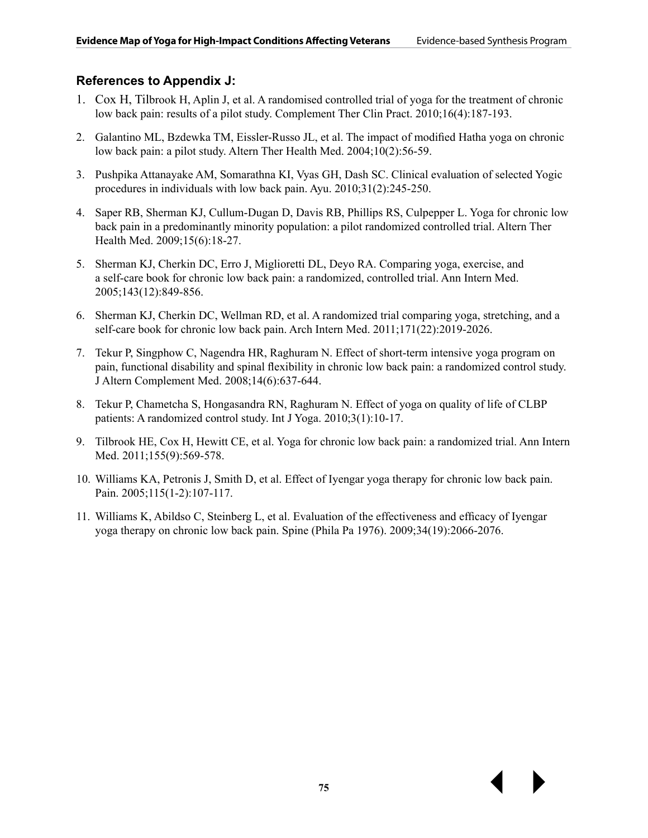#### **References to Appendix J:**

- 1. Cox H, Tilbrook H, Aplin J, et al. A randomised controlled trial of yoga for the treatment of chronic low back pain: results of a pilot study. Complement Ther Clin Pract. 2010;16(4):187-193.
- 2. Galantino ML, Bzdewka TM, Eissler-Russo JL, et al. The impact of modified Hatha yoga on chronic low back pain: a pilot study. Altern Ther Health Med. 2004;10(2):56-59.
- 3. Pushpika Attanayake AM, Somarathna KI, Vyas GH, Dash SC. Clinical evaluation of selected Yogic procedures in individuals with low back pain. Ayu. 2010;31(2):245-250.
- 4. Saper RB, Sherman KJ, Cullum-Dugan D, Davis RB, Phillips RS, Culpepper L. Yoga for chronic low back pain in a predominantly minority population: a pilot randomized controlled trial. Altern Ther Health Med. 2009;15(6):18-27.
- 5. Sherman KJ, Cherkin DC, Erro J, Miglioretti DL, Deyo RA. Comparing yoga, exercise, and a self-care book for chronic low back pain: a randomized, controlled trial. Ann Intern Med. 2005;143(12):849-856.
- 6. Sherman KJ, Cherkin DC, Wellman RD, et al. A randomized trial comparing yoga, stretching, and a self-care book for chronic low back pain. Arch Intern Med. 2011;171(22):2019-2026.
- 7. Tekur P, Singphow C, Nagendra HR, Raghuram N. Effect of short-term intensive yoga program on pain, functional disability and spinal flexibility in chronic low back pain: a randomized control study. J Altern Complement Med. 2008;14(6):637-644.
- 8. Tekur P, Chametcha S, Hongasandra RN, Raghuram N. Effect of yoga on quality of life of CLBP patients: A randomized control study. Int J Yoga. 2010;3(1):10-17.
- 9. Tilbrook HE, Cox H, Hewitt CE, et al. Yoga for chronic low back pain: a randomized trial. Ann Intern Med. 2011;155(9):569-578.
- 10. Williams KA, Petronis J, Smith D, et al. Effect of Iyengar yoga therapy for chronic low back pain. Pain. 2005;115(1-2):107-117.
- 11. Williams K, Abildso C, Steinberg L, et al. Evaluation of the effectiveness and efficacy of Iyengar yoga therapy on chronic low back pain. Spine (Phila Pa 1976). 2009;34(19):2066-2076.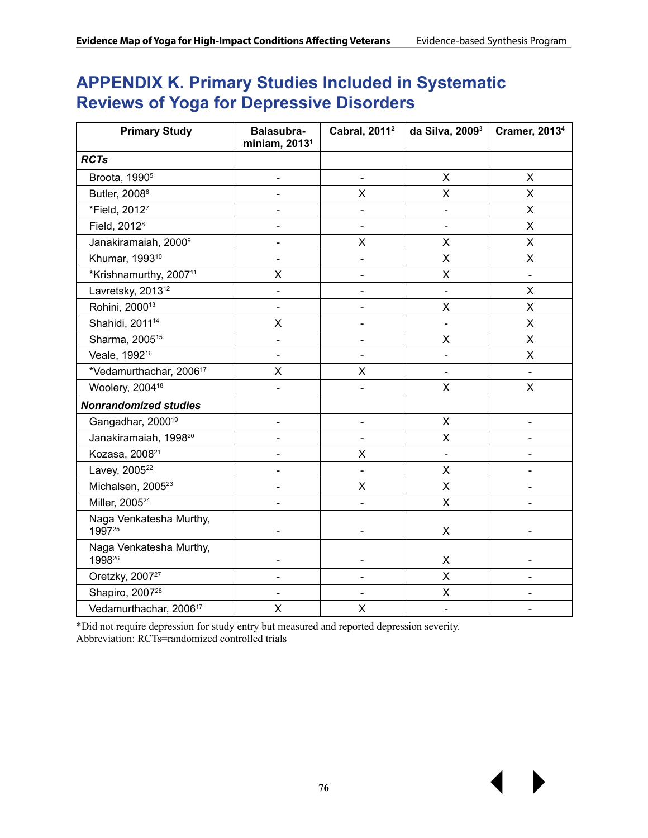## **APPENDIX K. Primary Studies Included in Systematic Reviews of Yoga for Depressive Disorders**

| <b>Primary Study</b>                | Balasubra-<br>miniam, 2013 <sup>1</sup> | Cabral, 2011 <sup>2</sup>    | da Silva, 2009 <sup>3</sup> | <b>Cramer, 20134</b>     |
|-------------------------------------|-----------------------------------------|------------------------------|-----------------------------|--------------------------|
| <b>RCTs</b>                         |                                         |                              |                             |                          |
| Broota, 1990 <sup>5</sup>           | $\overline{\phantom{0}}$                | $\blacksquare$               | X                           | X                        |
| Butler, 2008 <sup>6</sup>           |                                         | X                            | X                           | X                        |
| *Field, 20127                       |                                         | $\blacksquare$               |                             | X                        |
| Field, 2012 <sup>8</sup>            | $\overline{a}$                          |                              |                             | X                        |
| Janakiramaiah, 2000 <sup>9</sup>    | $\overline{\phantom{0}}$                | X                            | X                           | X                        |
| Khumar, 1993 <sup>10</sup>          |                                         | L,                           | $\times$                    | X                        |
| *Krishnamurthy, 2007 <sup>11</sup>  | Χ                                       | $\qquad \qquad \blacksquare$ | $\pmb{\times}$              | $\overline{\phantom{a}}$ |
| Lavretsky, 2013 <sup>12</sup>       | $\overline{\phantom{0}}$                |                              |                             | X                        |
| Rohini, 2000 <sup>13</sup>          |                                         |                              | $\sf X$                     | X                        |
| Shahidi, 2011 <sup>14</sup>         | X                                       |                              |                             | X                        |
| Sharma, 2005 <sup>15</sup>          |                                         |                              | X                           | X                        |
| Veale, 1992 <sup>16</sup>           | $\overline{a}$                          |                              |                             | X                        |
| *Vedamurthachar, 2006 <sup>17</sup> | X                                       | X                            |                             |                          |
| Woolery, 2004 <sup>18</sup>         | $\overline{\phantom{0}}$                | $\blacksquare$               | X                           | X                        |
| <b>Nonrandomized studies</b>        |                                         |                              |                             |                          |
| Gangadhar, 2000 <sup>19</sup>       | $\qquad \qquad \blacksquare$            | $\overline{\phantom{a}}$     | X                           | $\overline{\phantom{0}}$ |
| Janakiramaiah, 1998 <sup>20</sup>   |                                         | $\blacksquare$               | X                           |                          |
| Kozasa, 2008 <sup>21</sup>          | $\qquad \qquad \blacksquare$            | X                            | $\overline{\phantom{a}}$    | $\overline{\phantom{a}}$ |
| Lavey, 2005 <sup>22</sup>           |                                         | $\blacksquare$               | X                           |                          |
| Michalsen, 2005 <sup>23</sup>       | $\overline{\phantom{0}}$                | X                            | $\pmb{\mathsf{X}}$          |                          |
| Miller, 2005 <sup>24</sup>          | $\overline{\phantom{0}}$                | $\blacksquare$               | X                           | $\blacksquare$           |
| Naga Venkatesha Murthy,<br>199725   | $\blacksquare$                          | $\blacksquare$               | $\pmb{\times}$              |                          |
| Naga Venkatesha Murthy,<br>199826   | -                                       |                              | X                           |                          |
| Oretzky, 2007 <sup>27</sup>         |                                         |                              | X                           |                          |
| Shapiro, 2007 <sup>28</sup>         |                                         |                              | X                           |                          |
| Vedamurthachar, 2006 <sup>17</sup>  | $\pmb{\times}$                          | X                            | $\overline{\phantom{a}}$    |                          |

\*Did not require depression for study entry but measured and reported depression severity. Abbreviation: RCTs=randomized controlled trials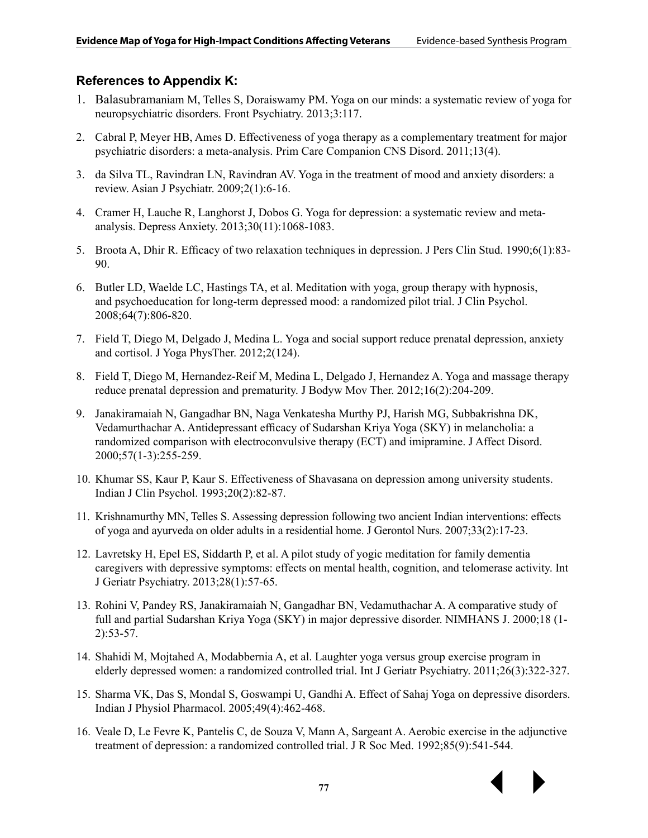#### **References to Appendix K:**

- 1. Balasubramaniam M, Telles S, Doraiswamy PM. Yoga on our minds: a systematic review of yoga for neuropsychiatric disorders. Front Psychiatry. 2013;3:117.
- 2. Cabral P, Meyer HB, Ames D. Effectiveness of yoga therapy as a complementary treatment for major psychiatric disorders: a meta-analysis. Prim Care Companion CNS Disord. 2011;13(4).
- 3. da Silva TL, Ravindran LN, Ravindran AV. Yoga in the treatment of mood and anxiety disorders: a review. Asian J Psychiatr. 2009;2(1):6-16.
- 4. Cramer H, Lauche R, Langhorst J, Dobos G. Yoga for depression: a systematic review and metaanalysis. Depress Anxiety. 2013;30(11):1068-1083.
- 5. Broota A, Dhir R. Efficacy of two relaxation techniques in depression. J Pers Clin Stud. 1990;6(1):83- 90.
- 6. Butler LD, Waelde LC, Hastings TA, et al. Meditation with yoga, group therapy with hypnosis, and psychoeducation for long-term depressed mood: a randomized pilot trial. J Clin Psychol. 2008;64(7):806-820.
- 7. Field T, Diego M, Delgado J, Medina L. Yoga and social support reduce prenatal depression, anxiety and cortisol. J Yoga PhysTher. 2012;2(124).
- 8. Field T, Diego M, Hernandez-Reif M, Medina L, Delgado J, Hernandez A. Yoga and massage therapy reduce prenatal depression and prematurity. J Bodyw Mov Ther. 2012;16(2):204-209.
- 9. Janakiramaiah N, Gangadhar BN, Naga Venkatesha Murthy PJ, Harish MG, Subbakrishna DK, Vedamurthachar A. Antidepressant efficacy of Sudarshan Kriya Yoga (SKY) in melancholia: a randomized comparison with electroconvulsive therapy (ECT) and imipramine. J Affect Disord. 2000;57(1-3):255-259.
- 10. Khumar SS, Kaur P, Kaur S. Effectiveness of Shavasana on depression among university students. Indian J Clin Psychol. 1993;20(2):82-87.
- 11. Krishnamurthy MN, Telles S. Assessing depression following two ancient Indian interventions: effects of yoga and ayurveda on older adults in a residential home. J Gerontol Nurs. 2007;33(2):17-23.
- 12. Lavretsky H, Epel ES, Siddarth P, et al. A pilot study of yogic meditation for family dementia caregivers with depressive symptoms: effects on mental health, cognition, and telomerase activity. Int J Geriatr Psychiatry. 2013;28(1):57-65.
- 13. Rohini V, Pandey RS, Janakiramaiah N, Gangadhar BN, Vedamuthachar A. A comparative study of full and partial Sudarshan Kriya Yoga (SKY) in major depressive disorder. NIMHANS J. 2000;18 (1- 2):53-57.
- 14. Shahidi M, Mojtahed A, Modabbernia A, et al. Laughter yoga versus group exercise program in elderly depressed women: a randomized controlled trial. Int J Geriatr Psychiatry. 2011;26(3):322-327.
- 15. Sharma VK, Das S, Mondal S, Goswampi U, Gandhi A. Effect of Sahaj Yoga on depressive disorders. Indian J Physiol Pharmacol. 2005;49(4):462-468.
- 16. Veale D, Le Fevre K, Pantelis C, de Souza V, Mann A, Sargeant A. Aerobic exercise in the adjunctive treatment of depression: a randomized controlled trial. J R Soc Med. 1992;85(9):541-544.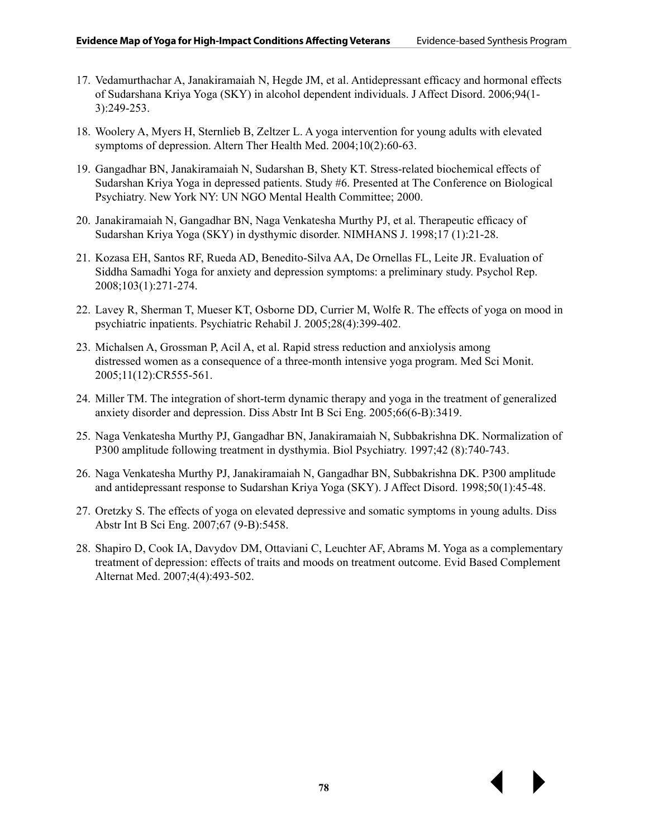- 17. Vedamurthachar A, Janakiramaiah N, Hegde JM, et al. Antidepressant efficacy and hormonal effects of Sudarshana Kriya Yoga (SKY) in alcohol dependent individuals. J Affect Disord. 2006;94(1- 3):249-253.
- 18. Woolery A, Myers H, Sternlieb B, Zeltzer L. A yoga intervention for young adults with elevated symptoms of depression. Altern Ther Health Med. 2004;10(2):60-63.
- 19. Gangadhar BN, Janakiramaiah N, Sudarshan B, Shety KT. Stress-related biochemical effects of Sudarshan Kriya Yoga in depressed patients. Study #6. Presented at The Conference on Biological Psychiatry. New York NY: UN NGO Mental Health Committee; 2000.
- 20. Janakiramaiah N, Gangadhar BN, Naga Venkatesha Murthy PJ, et al. Therapeutic efficacy of Sudarshan Kriya Yoga (SKY) in dysthymic disorder. NIMHANS J. 1998;17 (1):21-28.
- 21. Kozasa EH, Santos RF, Rueda AD, Benedito-Silva AA, De Ornellas FL, Leite JR. Evaluation of Siddha Samadhi Yoga for anxiety and depression symptoms: a preliminary study. Psychol Rep. 2008;103(1):271-274.
- 22. Lavey R, Sherman T, Mueser KT, Osborne DD, Currier M, Wolfe R. The effects of yoga on mood in psychiatric inpatients. Psychiatric Rehabil J. 2005;28(4):399-402.
- 23. Michalsen A, Grossman P, Acil A, et al. Rapid stress reduction and anxiolysis among distressed women as a consequence of a three-month intensive yoga program. Med Sci Monit. 2005;11(12):CR555-561.
- 24. Miller TM. The integration of short-term dynamic therapy and yoga in the treatment of generalized anxiety disorder and depression. Diss Abstr Int B Sci Eng. 2005;66(6-B):3419.
- 25. Naga Venkatesha Murthy PJ, Gangadhar BN, Janakiramaiah N, Subbakrishna DK. Normalization of P300 amplitude following treatment in dysthymia. Biol Psychiatry. 1997;42 (8):740-743.
- 26. Naga Venkatesha Murthy PJ, Janakiramaiah N, Gangadhar BN, Subbakrishna DK. P300 amplitude and antidepressant response to Sudarshan Kriya Yoga (SKY). J Affect Disord. 1998;50(1):45-48.
- 27. Oretzky S. The effects of yoga on elevated depressive and somatic symptoms in young adults. Diss Abstr Int B Sci Eng. 2007;67 (9-B):5458.
- 28. Shapiro D, Cook IA, Davydov DM, Ottaviani C, Leuchter AF, Abrams M. Yoga as a complementary treatment of depression: effects of traits and moods on treatment outcome. Evid Based Complement Alternat Med. 2007;4(4):493-502.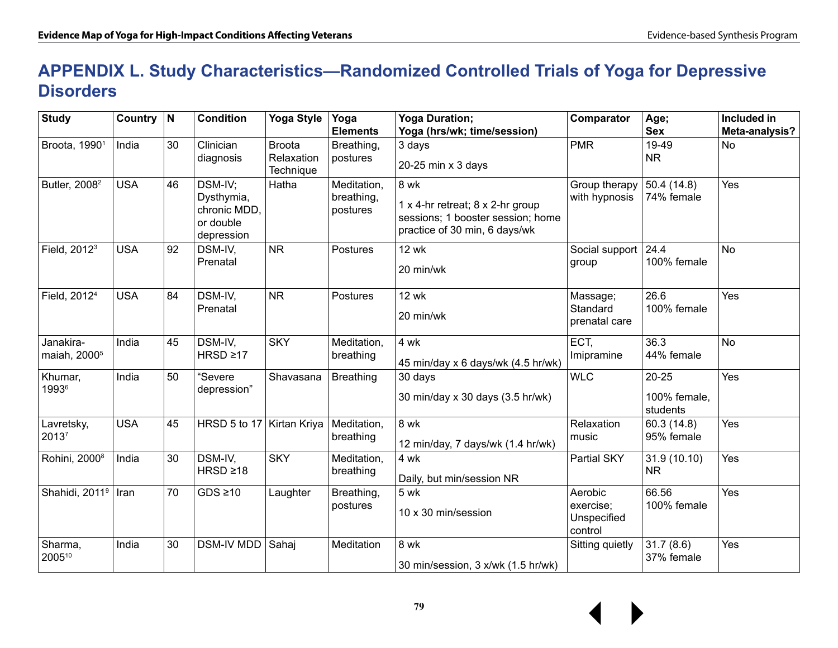### **APPENDIX L. Study Characteristics—Randomized Controlled Trials of Yoga for Depressive Disorders**

| <b>Study</b>                          | Country    | $\overline{\mathsf{N}}$ | <b>Condition</b>                                                 | <b>Yoga Style</b>                        | Yoga<br><b>Elements</b>               | <b>Yoga Duration;</b><br>Yoga (hrs/wk; time/session)                                                           | Comparator                                     | Age;<br><b>Sex</b>                    | Included in<br>Meta-analysis? |
|---------------------------------------|------------|-------------------------|------------------------------------------------------------------|------------------------------------------|---------------------------------------|----------------------------------------------------------------------------------------------------------------|------------------------------------------------|---------------------------------------|-------------------------------|
| Broota, 1990 <sup>1</sup>             | India      | 30                      | Clinician<br>diagnosis                                           | <b>Broota</b><br>Relaxation<br>Technique | Breathing,<br>postures                | 3 days<br>20-25 min x 3 days                                                                                   | <b>PMR</b>                                     | 19-49<br><b>NR</b>                    | <b>No</b>                     |
| Butler, 2008 <sup>2</sup>             | <b>USA</b> | 46                      | DSM-IV;<br>Dysthymia,<br>chronic MDD.<br>or double<br>depression | Hatha                                    | Meditation,<br>breathing,<br>postures | 8 wk<br>1 x 4-hr retreat; 8 x 2-hr group<br>sessions; 1 booster session; home<br>practice of 30 min, 6 days/wk | Group therapy<br>with hypnosis                 | 50.4 (14.8)<br>74% female             | Yes                           |
| Field, 2012 <sup>3</sup>              | <b>USA</b> | 92                      | DSM-IV,<br>Prenatal                                              | <b>NR</b>                                | Postures                              | <b>12 wk</b><br>20 min/wk                                                                                      | Social support<br>group                        | 24.4<br>100% female                   | <b>No</b>                     |
| Field, 2012 <sup>4</sup>              | <b>USA</b> | 84                      | DSM-IV,<br>Prenatal                                              | <b>NR</b>                                | Postures                              | <b>12 wk</b><br>20 min/wk                                                                                      | Massage;<br>Standard<br>prenatal care          | 26.6<br>100% female                   | Yes                           |
| Janakira-<br>maiah, 2000 <sup>5</sup> | India      | 45                      | DSM-IV,<br>$HRSD \geq 17$                                        | <b>SKY</b>                               | Meditation,<br>breathing              | 4 wk<br>45 min/day x 6 days/wk (4.5 hr/wk)                                                                     | ECT,<br>Imipramine                             | 36.3<br>44% female                    | <b>No</b>                     |
| Khumar,<br>19936                      | India      | 50                      | "Severe<br>depression"                                           | Shavasana                                | <b>Breathing</b>                      | 30 days<br>30 min/day x 30 days (3.5 hr/wk)                                                                    | <b>WLC</b>                                     | $20 - 25$<br>100% female,<br>students | Yes                           |
| Lavretsky,<br>20137                   | <b>USA</b> | 45                      | HRSD 5 to 17                                                     | Kirtan Kriya                             | Meditation,<br>breathing              | 8 wk<br>12 min/day, 7 days/wk (1.4 hr/wk)                                                                      | Relaxation<br>music                            | 60.3 (14.8)<br>95% female             | Yes                           |
| Rohini, 2000 <sup>8</sup>             | India      | 30                      | DSM-IV,<br>$HRSD \geq 18$                                        | <b>SKY</b>                               | Meditation,<br>breathing              | 4 wk<br>Daily, but min/session NR                                                                              | Partial SKY                                    | 31.9 (10.10)<br><b>NR</b>             | Yes                           |
| Shahidi, 2011 <sup>9</sup>   Iran     |            | 70                      | $GDS \geq 10$                                                    | Laughter                                 | Breathing,<br>postures                | 5 wk<br>10 x 30 min/session                                                                                    | Aerobic<br>exercise;<br>Unspecified<br>control | 66.56<br>100% female                  | Yes                           |
| Sharma,<br>200510                     | India      | 30                      | <b>DSM-IV MDD</b>                                                | Sahaj                                    | Meditation                            | 8 wk<br>30 min/session, 3 x/wk (1.5 hr/wk)                                                                     | Sitting quietly                                | 31.7(8.6)<br>37% female               | Yes                           |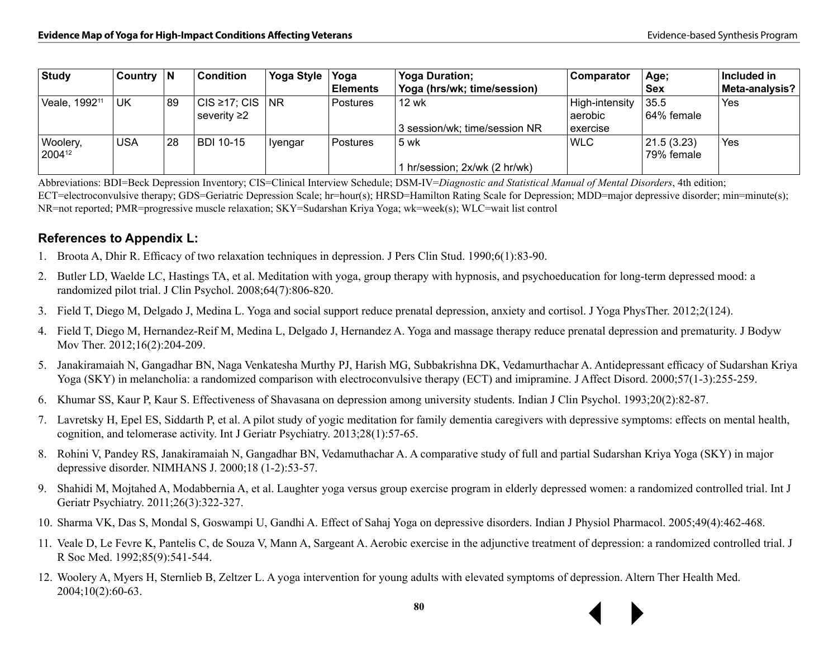| Study                     | Country $ N $ |    | <b>Condition</b>    | <b>Yoga Style</b> | Yoga            | <b>Yoga Duration:</b>         | <b>Comparator</b> | Age;       | Included in    |
|---------------------------|---------------|----|---------------------|-------------------|-----------------|-------------------------------|-------------------|------------|----------------|
|                           |               |    |                     |                   | <b>Elements</b> | Yoga (hrs/wk; time/session)   |                   | ∣Sex       | Meta-analysis? |
| Veale, 1992 <sup>11</sup> | UK            | 89 | $ CIS \ge 17$ ; CIS | <b>NR</b>         | Postures        | 12 wk                         | High-intensity    | 35.5       | Yes            |
|                           |               |    | severity ≥2∣        |                   |                 |                               | aerobic           | 64% female |                |
|                           |               |    |                     |                   |                 | 3 session/wk; time/session NR | exercise          |            |                |
| Woolery,                  | <b>USA</b>    | 28 | <b>BDI 10-15</b>    | Iyengar           | Postures        | 5 wk                          | <b>WLC</b>        | 21.5(3.23) | Yes            |
| 200412                    |               |    |                     |                   |                 |                               |                   | 79% female |                |
|                           |               |    |                     |                   |                 | 1 hr/session; 2x/wk (2 hr/wk) |                   |            |                |

Abbreviations: BDI=Beck Depression Inventory; CIS=Clinical Interview Schedule; DSM-IV=*Diagnostic and Statistical Manual of Mental Disorders*, 4th edition; ECT=electroconvulsive therapy; GDS=Geriatric Depression Scale; hr=hour(s); HRSD=Hamilton Rating Scale for Depression; MDD=major depressive disorder; min=minute(s); NR=not reported; PMR=progressive muscle relaxation; SKY=Sudarshan Kriya Yoga; wk=week(s); WLC=wait list control

#### **References to Appendix L:**

- 1. Broota A, Dhir R. Efficacy of two relaxation techniques in depression. J Pers Clin Stud. 1990;6(1):83-90.
- 2. Butler LD, Waelde LC, Hastings TA, et al. Meditation with yoga, group therapy with hypnosis, and psychoeducation for long-term depressed mood: a randomized pilot trial. J Clin Psychol. 2008;64(7):806-820.
- 3. Field T, Diego M, Delgado J, Medina L. Yoga and social support reduce prenatal depression, anxiety and cortisol. J Yoga PhysTher. 2012;2(124).
- 4. Field T, Diego M, Hernandez-Reif M, Medina L, Delgado J, Hernandez A. Yoga and massage therapy reduce prenatal depression and prematurity. J Bodyw Mov Ther. 2012;16(2):204-209.
- 5. Janakiramaiah N, Gangadhar BN, Naga Venkatesha Murthy PJ, Harish MG, Subbakrishna DK, Vedamurthachar A. Antidepressant efficacy of Sudarshan Kriya Yoga (SKY) in melancholia: a randomized comparison with electroconvulsive therapy (ECT) and imipramine. J Affect Disord. 2000;57(1-3):255-259.
- 6. Khumar SS, Kaur P, Kaur S. Effectiveness of Shavasana on depression among university students. Indian J Clin Psychol. 1993;20(2):82-87.
- 7. Lavretsky H, Epel ES, Siddarth P, et al. A pilot study of yogic meditation for family dementia caregivers with depressive symptoms: effects on mental health, cognition, and telomerase activity. Int J Geriatr Psychiatry. 2013;28(1):57-65.
- 8. Rohini V, Pandey RS, Janakiramaiah N, Gangadhar BN, Vedamuthachar A. A comparative study of full and partial Sudarshan Kriya Yoga (SKY) in major depressive disorder. NIMHANS J. 2000;18 (1-2):53-57.
- 9. Shahidi M, Mojtahed A, Modabbernia A, et al. Laughter yoga versus group exercise program in elderly depressed women: a randomized controlled trial. Int J Geriatr Psychiatry. 2011;26(3):322-327.
- 10. Sharma VK, Das S, Mondal S, Goswampi U, Gandhi A. Effect of Sahaj Yoga on depressive disorders. Indian J Physiol Pharmacol. 2005;49(4):462-468.
- 11. Veale D, Le Fevre K, Pantelis C, de Souza V, Mann A, Sargeant A. Aerobic exercise in the adjunctive treatment of depression: a randomized controlled trial. J R Soc Med. 1992;85(9):541-544.
- 12. Woolery A, Myers H, Sternlieb B, Zeltzer L. A yoga intervention for young adults with elevated symptoms of depression. Altern Ther Health Med. 2004;10(2):60-63.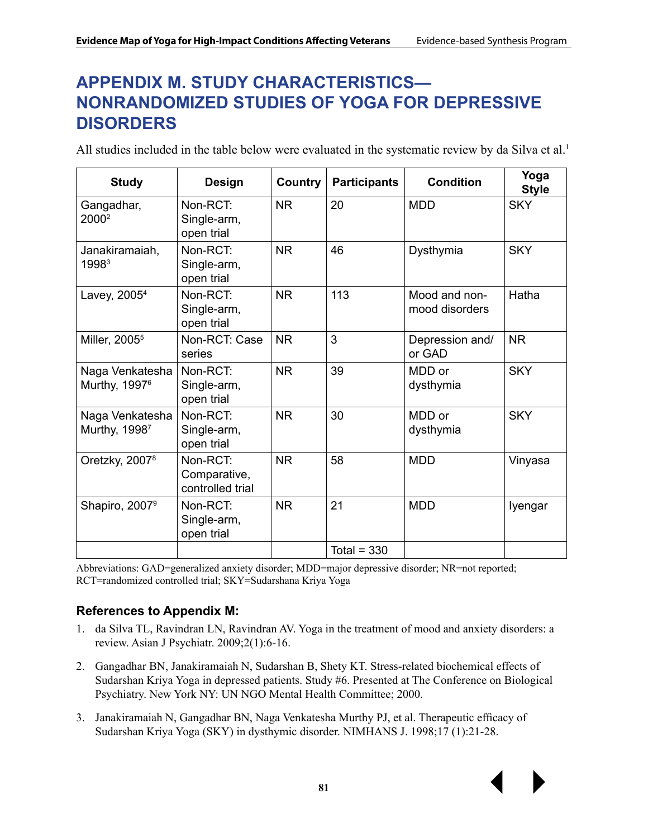### **APPENDIX M. STUDY CHARACTERISTICS— NONRANDOMIZED STUDIES OF YOGA FOR DEPRESSIVE DISORDERS**

All studies included in the table below were evaluated in the systematic review by da Silva et al.<sup>1</sup>

| <b>Study</b>                                 | <b>Design</b>                                |           | <b>Participants</b> | <b>Condition</b>                | Yoga<br><b>Style</b> |
|----------------------------------------------|----------------------------------------------|-----------|---------------------|---------------------------------|----------------------|
| Gangadhar,<br>2000 <sup>2</sup>              | Non-RCT:<br>Single-arm,<br>open trial        | <b>NR</b> | 20                  | <b>MDD</b>                      | <b>SKY</b>           |
| Janakiramaiah,<br>1998 <sup>3</sup>          | Non-RCT:<br>Single-arm,<br>open trial        | <b>NR</b> | 46                  | Dysthymia                       | <b>SKY</b>           |
| Lavey, 2005 <sup>4</sup>                     | Non-RCT:<br>Single-arm,<br>open trial        | <b>NR</b> | 113                 | Mood and non-<br>mood disorders | Hatha                |
| Miller, 2005 <sup>5</sup>                    | Non-RCT: Case<br>series                      | <b>NR</b> | 3                   | Depression and/<br>or GAD       | <b>NR</b>            |
| Naga Venkatesha<br>Murthy, 1997 <sup>6</sup> | Non-RCT:<br>Single-arm,<br>open trial        | <b>NR</b> | 39                  | MDD or<br>dysthymia             | <b>SKY</b>           |
| Naga Venkatesha<br>Murthy, 19987             | Non-RCT:<br>Single-arm,<br>open trial        | <b>NR</b> | 30                  | MDD or<br>dysthymia             | <b>SKY</b>           |
| Oretzky, 2007 <sup>8</sup>                   | Non-RCT:<br>Comparative,<br>controlled trial | <b>NR</b> | 58                  | <b>MDD</b>                      | Vinyasa              |
| Shapiro, 2007 <sup>9</sup>                   | Non-RCT:<br>Single-arm,<br>open trial        | <b>NR</b> | 21                  | <b>MDD</b>                      | Iyengar              |
|                                              |                                              |           | Total = $330$       |                                 |                      |

Abbreviations: GAD=generalized anxiety disorder; MDD=major depressive disorder; NR=not reported; RCT=randomized controlled trial; SKY=Sudarshana Kriya Yoga

#### **References to Appendix M:**

- 1. da Silva TL, Ravindran LN, Ravindran AV. Yoga in the treatment of mood and anxiety disorders: a review. Asian J Psychiatr. 2009;2(1):6-16.
- 2. Gangadhar BN, Janakiramaiah N, Sudarshan B, Shety KT. Stress-related biochemical effects of Sudarshan Kriya Yoga in depressed patients. Study #6. Presented at The Conference on Biological Psychiatry. New York NY: UN NGO Mental Health Committee; 2000.
- 3. Janakiramaiah N, Gangadhar BN, Naga Venkatesha Murthy PJ, et al. Therapeutic efficacy of Sudarshan Kriya Yoga (SKY) in dysthymic disorder. NIMHANS J. 1998;17 (1):21-28.